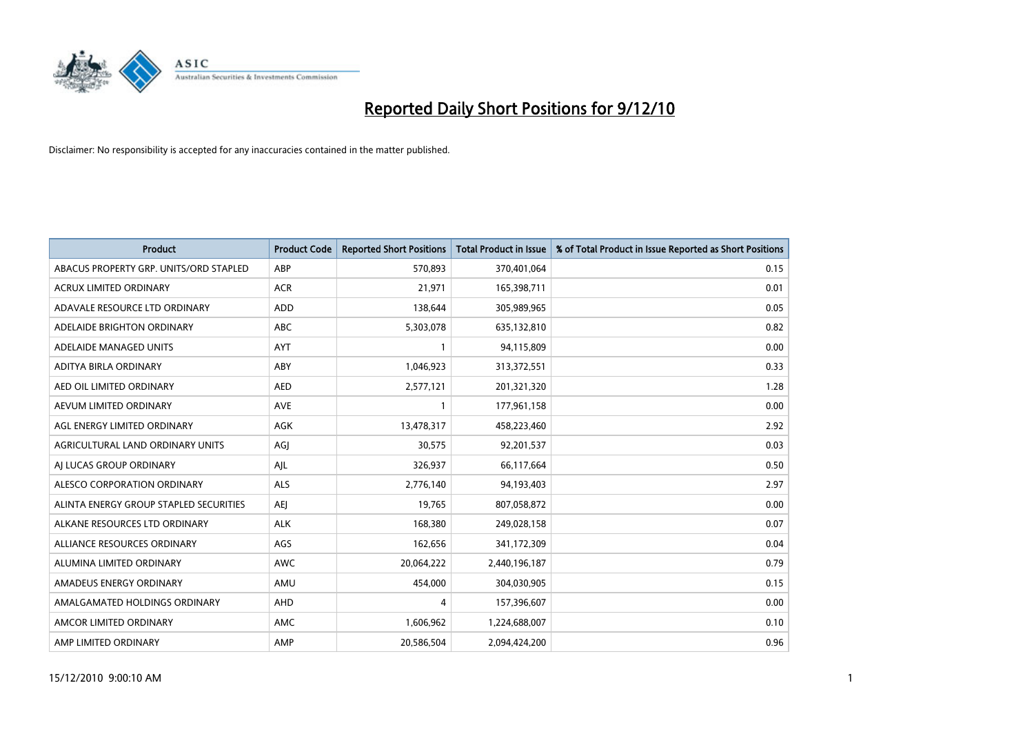

| <b>Product</b>                         | <b>Product Code</b> | <b>Reported Short Positions</b> | Total Product in Issue | % of Total Product in Issue Reported as Short Positions |
|----------------------------------------|---------------------|---------------------------------|------------------------|---------------------------------------------------------|
| ABACUS PROPERTY GRP. UNITS/ORD STAPLED | ABP                 | 570,893                         | 370,401,064            | 0.15                                                    |
| ACRUX LIMITED ORDINARY                 | <b>ACR</b>          | 21,971                          | 165,398,711            | 0.01                                                    |
| ADAVALE RESOURCE LTD ORDINARY          | <b>ADD</b>          | 138,644                         | 305,989,965            | 0.05                                                    |
| ADELAIDE BRIGHTON ORDINARY             | <b>ABC</b>          | 5,303,078                       | 635,132,810            | 0.82                                                    |
| ADELAIDE MANAGED UNITS                 | <b>AYT</b>          |                                 | 94,115,809             | 0.00                                                    |
| ADITYA BIRLA ORDINARY                  | ABY                 | 1,046,923                       | 313,372,551            | 0.33                                                    |
| AED OIL LIMITED ORDINARY               | <b>AED</b>          | 2,577,121                       | 201,321,320            | 1.28                                                    |
| AEVUM LIMITED ORDINARY                 | <b>AVE</b>          |                                 | 177,961,158            | 0.00                                                    |
| AGL ENERGY LIMITED ORDINARY            | AGK                 | 13,478,317                      | 458,223,460            | 2.92                                                    |
| AGRICULTURAL LAND ORDINARY UNITS       | AGJ                 | 30,575                          | 92,201,537             | 0.03                                                    |
| AJ LUCAS GROUP ORDINARY                | AJL                 | 326,937                         | 66,117,664             | 0.50                                                    |
| ALESCO CORPORATION ORDINARY            | ALS                 | 2,776,140                       | 94,193,403             | 2.97                                                    |
| ALINTA ENERGY GROUP STAPLED SECURITIES | <b>AEJ</b>          | 19,765                          | 807,058,872            | 0.00                                                    |
| ALKANE RESOURCES LTD ORDINARY          | <b>ALK</b>          | 168,380                         | 249,028,158            | 0.07                                                    |
| ALLIANCE RESOURCES ORDINARY            | AGS                 | 162,656                         | 341,172,309            | 0.04                                                    |
| ALUMINA LIMITED ORDINARY               | <b>AWC</b>          | 20,064,222                      | 2,440,196,187          | 0.79                                                    |
| AMADEUS ENERGY ORDINARY                | AMU                 | 454,000                         | 304,030,905            | 0.15                                                    |
| AMALGAMATED HOLDINGS ORDINARY          | AHD                 | 4                               | 157,396,607            | 0.00                                                    |
| AMCOR LIMITED ORDINARY                 | AMC                 | 1,606,962                       | 1,224,688,007          | 0.10                                                    |
| AMP LIMITED ORDINARY                   | AMP                 | 20,586,504                      | 2,094,424,200          | 0.96                                                    |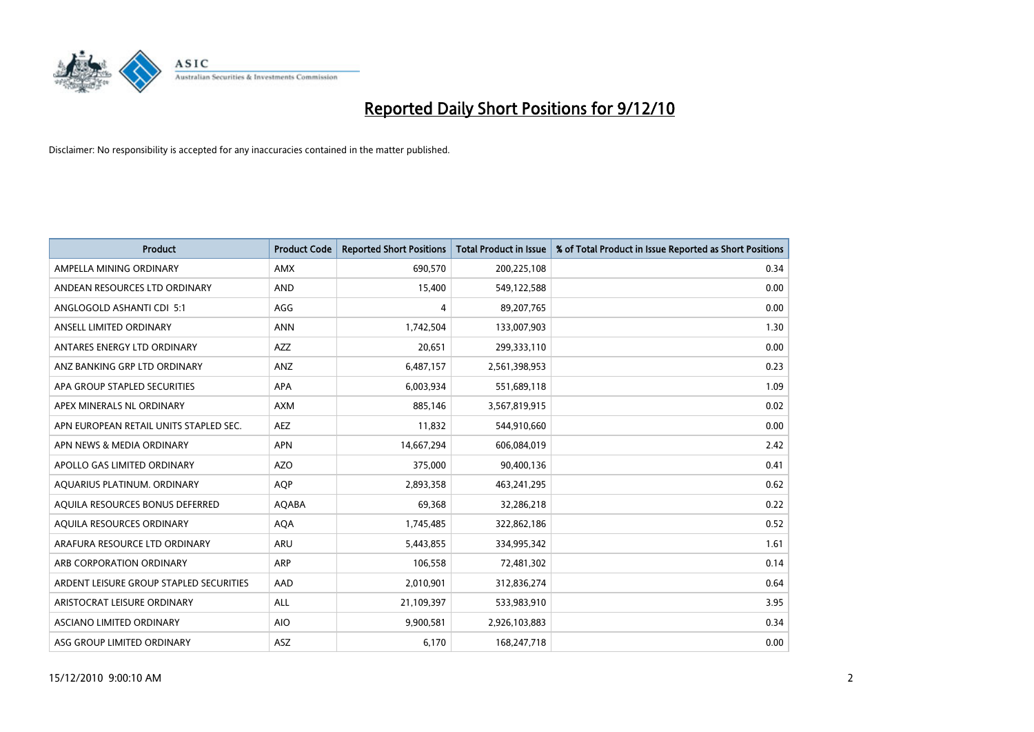

| <b>Product</b>                          | <b>Product Code</b> | <b>Reported Short Positions</b> | Total Product in Issue | % of Total Product in Issue Reported as Short Positions |
|-----------------------------------------|---------------------|---------------------------------|------------------------|---------------------------------------------------------|
| AMPELLA MINING ORDINARY                 | <b>AMX</b>          | 690,570                         | 200,225,108            | 0.34                                                    |
| ANDEAN RESOURCES LTD ORDINARY           | <b>AND</b>          | 15,400                          | 549,122,588            | 0.00                                                    |
| ANGLOGOLD ASHANTI CDI 5:1               | AGG                 | 4                               | 89,207,765             | 0.00                                                    |
| ANSELL LIMITED ORDINARY                 | <b>ANN</b>          | 1,742,504                       | 133,007,903            | 1.30                                                    |
| ANTARES ENERGY LTD ORDINARY             | <b>AZZ</b>          | 20,651                          | 299,333,110            | 0.00                                                    |
| ANZ BANKING GRP LTD ORDINARY            | ANZ                 | 6,487,157                       | 2,561,398,953          | 0.23                                                    |
| APA GROUP STAPLED SECURITIES            | <b>APA</b>          | 6,003,934                       | 551,689,118            | 1.09                                                    |
| APEX MINERALS NL ORDINARY               | <b>AXM</b>          | 885,146                         | 3,567,819,915          | 0.02                                                    |
| APN EUROPEAN RETAIL UNITS STAPLED SEC.  | AEZ                 | 11,832                          | 544,910,660            | 0.00                                                    |
| APN NEWS & MEDIA ORDINARY               | <b>APN</b>          | 14,667,294                      | 606,084,019            | 2.42                                                    |
| APOLLO GAS LIMITED ORDINARY             | <b>AZO</b>          | 375,000                         | 90,400,136             | 0.41                                                    |
| AQUARIUS PLATINUM. ORDINARY             | <b>AOP</b>          | 2,893,358                       | 463,241,295            | 0.62                                                    |
| AQUILA RESOURCES BONUS DEFERRED         | AQABA               | 69,368                          | 32,286,218             | 0.22                                                    |
| AQUILA RESOURCES ORDINARY               | <b>AQA</b>          | 1,745,485                       | 322,862,186            | 0.52                                                    |
| ARAFURA RESOURCE LTD ORDINARY           | <b>ARU</b>          | 5,443,855                       | 334,995,342            | 1.61                                                    |
| ARB CORPORATION ORDINARY                | <b>ARP</b>          | 106,558                         | 72,481,302             | 0.14                                                    |
| ARDENT LEISURE GROUP STAPLED SECURITIES | AAD                 | 2,010,901                       | 312,836,274            | 0.64                                                    |
| ARISTOCRAT LEISURE ORDINARY             | ALL                 | 21,109,397                      | 533,983,910            | 3.95                                                    |
| <b>ASCIANO LIMITED ORDINARY</b>         | <b>AIO</b>          | 9,900,581                       | 2,926,103,883          | 0.34                                                    |
| ASG GROUP LIMITED ORDINARY              | <b>ASZ</b>          | 6,170                           | 168,247,718            | 0.00                                                    |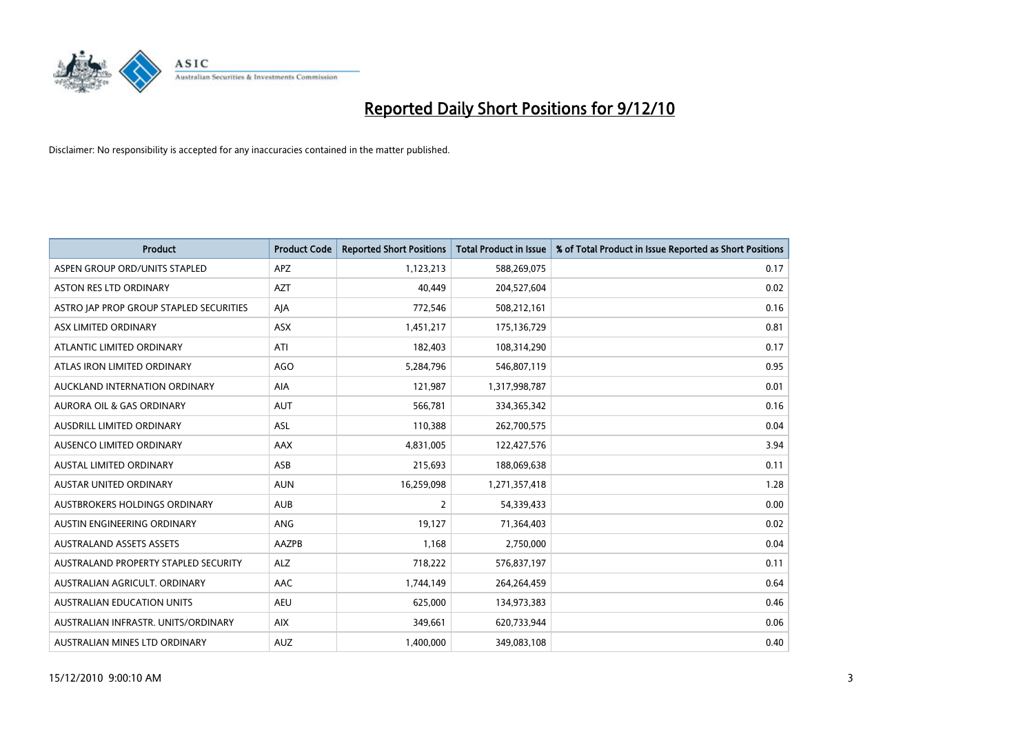

| <b>Product</b>                          | <b>Product Code</b> | <b>Reported Short Positions</b> | Total Product in Issue | % of Total Product in Issue Reported as Short Positions |
|-----------------------------------------|---------------------|---------------------------------|------------------------|---------------------------------------------------------|
| ASPEN GROUP ORD/UNITS STAPLED           | APZ                 | 1,123,213                       | 588,269,075            | 0.17                                                    |
| <b>ASTON RES LTD ORDINARY</b>           | <b>AZT</b>          | 40.449                          | 204,527,604            | 0.02                                                    |
| ASTRO JAP PROP GROUP STAPLED SECURITIES | AJA                 | 772,546                         | 508,212,161            | 0.16                                                    |
| ASX LIMITED ORDINARY                    | ASX                 | 1,451,217                       | 175,136,729            | 0.81                                                    |
| ATLANTIC LIMITED ORDINARY               | ATI                 | 182,403                         | 108,314,290            | 0.17                                                    |
| ATLAS IRON LIMITED ORDINARY             | <b>AGO</b>          | 5,284,796                       | 546,807,119            | 0.95                                                    |
| AUCKLAND INTERNATION ORDINARY           | <b>AIA</b>          | 121,987                         | 1,317,998,787          | 0.01                                                    |
| <b>AURORA OIL &amp; GAS ORDINARY</b>    | <b>AUT</b>          | 566,781                         | 334,365,342            | 0.16                                                    |
| AUSDRILL LIMITED ORDINARY               | <b>ASL</b>          | 110,388                         | 262,700,575            | 0.04                                                    |
| AUSENCO LIMITED ORDINARY                | AAX                 | 4,831,005                       | 122,427,576            | 3.94                                                    |
| AUSTAL LIMITED ORDINARY                 | ASB                 | 215,693                         | 188,069,638            | 0.11                                                    |
| AUSTAR UNITED ORDINARY                  | <b>AUN</b>          | 16,259,098                      | 1,271,357,418          | 1.28                                                    |
| AUSTBROKERS HOLDINGS ORDINARY           | <b>AUB</b>          | $\overline{2}$                  | 54,339,433             | 0.00                                                    |
| AUSTIN ENGINEERING ORDINARY             | <b>ANG</b>          | 19,127                          | 71,364,403             | 0.02                                                    |
| <b>AUSTRALAND ASSETS ASSETS</b>         | <b>AAZPB</b>        | 1,168                           | 2,750,000              | 0.04                                                    |
| AUSTRALAND PROPERTY STAPLED SECURITY    | <b>ALZ</b>          | 718,222                         | 576,837,197            | 0.11                                                    |
| AUSTRALIAN AGRICULT, ORDINARY           | AAC                 | 1,744,149                       | 264,264,459            | 0.64                                                    |
| <b>AUSTRALIAN EDUCATION UNITS</b>       | <b>AEU</b>          | 625,000                         | 134,973,383            | 0.46                                                    |
| AUSTRALIAN INFRASTR, UNITS/ORDINARY     | <b>AIX</b>          | 349,661                         | 620,733,944            | 0.06                                                    |
| AUSTRALIAN MINES LTD ORDINARY           | <b>AUZ</b>          | 1,400,000                       | 349,083,108            | 0.40                                                    |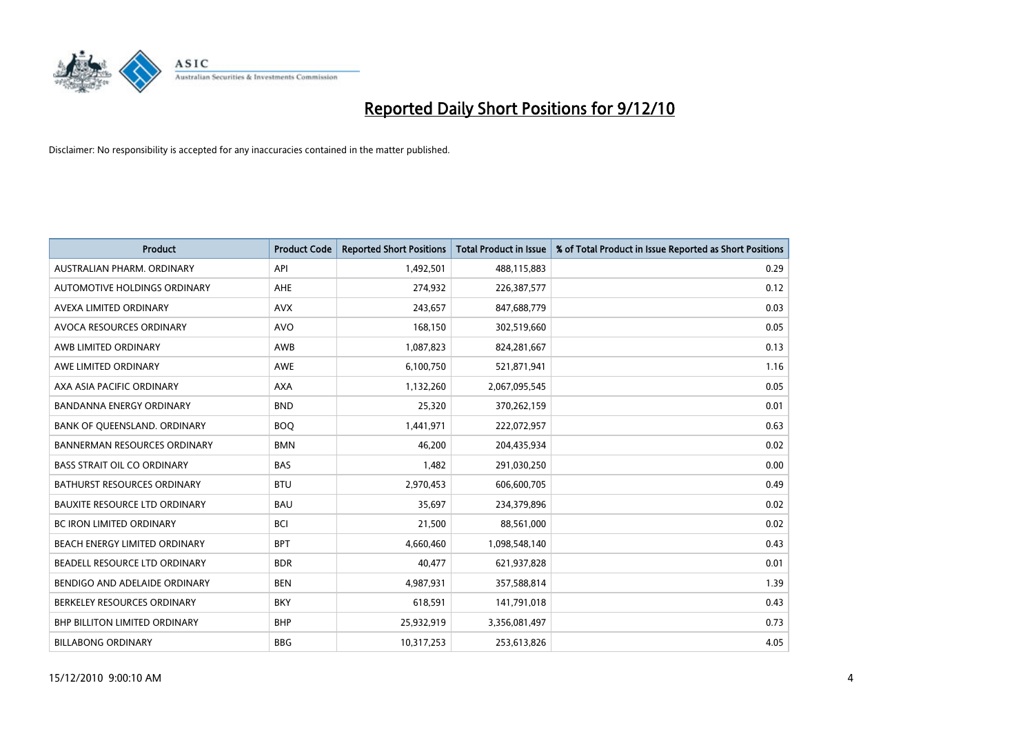

| Product                              | <b>Product Code</b> | <b>Reported Short Positions</b> | <b>Total Product in Issue</b> | % of Total Product in Issue Reported as Short Positions |
|--------------------------------------|---------------------|---------------------------------|-------------------------------|---------------------------------------------------------|
| AUSTRALIAN PHARM, ORDINARY           | API                 | 1,492,501                       | 488,115,883                   | 0.29                                                    |
| AUTOMOTIVE HOLDINGS ORDINARY         | AHE                 | 274,932                         | 226,387,577                   | 0.12                                                    |
| AVEXA LIMITED ORDINARY               | <b>AVX</b>          | 243,657                         | 847,688,779                   | 0.03                                                    |
| AVOCA RESOURCES ORDINARY             | <b>AVO</b>          | 168,150                         | 302,519,660                   | 0.05                                                    |
| AWB LIMITED ORDINARY                 | AWB                 | 1,087,823                       | 824,281,667                   | 0.13                                                    |
| AWE LIMITED ORDINARY                 | <b>AWE</b>          | 6,100,750                       | 521,871,941                   | 1.16                                                    |
| AXA ASIA PACIFIC ORDINARY            | <b>AXA</b>          | 1,132,260                       | 2,067,095,545                 | 0.05                                                    |
| BANDANNA ENERGY ORDINARY             | <b>BND</b>          | 25,320                          | 370,262,159                   | 0.01                                                    |
| BANK OF QUEENSLAND. ORDINARY         | <b>BOQ</b>          | 1,441,971                       | 222,072,957                   | 0.63                                                    |
| <b>BANNERMAN RESOURCES ORDINARY</b>  | <b>BMN</b>          | 46,200                          | 204,435,934                   | 0.02                                                    |
| <b>BASS STRAIT OIL CO ORDINARY</b>   | <b>BAS</b>          | 1,482                           | 291,030,250                   | 0.00                                                    |
| <b>BATHURST RESOURCES ORDINARY</b>   | <b>BTU</b>          | 2,970,453                       | 606,600,705                   | 0.49                                                    |
| <b>BAUXITE RESOURCE LTD ORDINARY</b> | <b>BAU</b>          | 35.697                          | 234,379,896                   | 0.02                                                    |
| BC IRON LIMITED ORDINARY             | <b>BCI</b>          | 21,500                          | 88,561,000                    | 0.02                                                    |
| BEACH ENERGY LIMITED ORDINARY        | <b>BPT</b>          | 4,660,460                       | 1,098,548,140                 | 0.43                                                    |
| BEADELL RESOURCE LTD ORDINARY        | <b>BDR</b>          | 40,477                          | 621,937,828                   | 0.01                                                    |
| BENDIGO AND ADELAIDE ORDINARY        | <b>BEN</b>          | 4,987,931                       | 357,588,814                   | 1.39                                                    |
| BERKELEY RESOURCES ORDINARY          | <b>BKY</b>          | 618,591                         | 141,791,018                   | 0.43                                                    |
| <b>BHP BILLITON LIMITED ORDINARY</b> | <b>BHP</b>          | 25,932,919                      | 3,356,081,497                 | 0.73                                                    |
| <b>BILLABONG ORDINARY</b>            | <b>BBG</b>          | 10,317,253                      | 253,613,826                   | 4.05                                                    |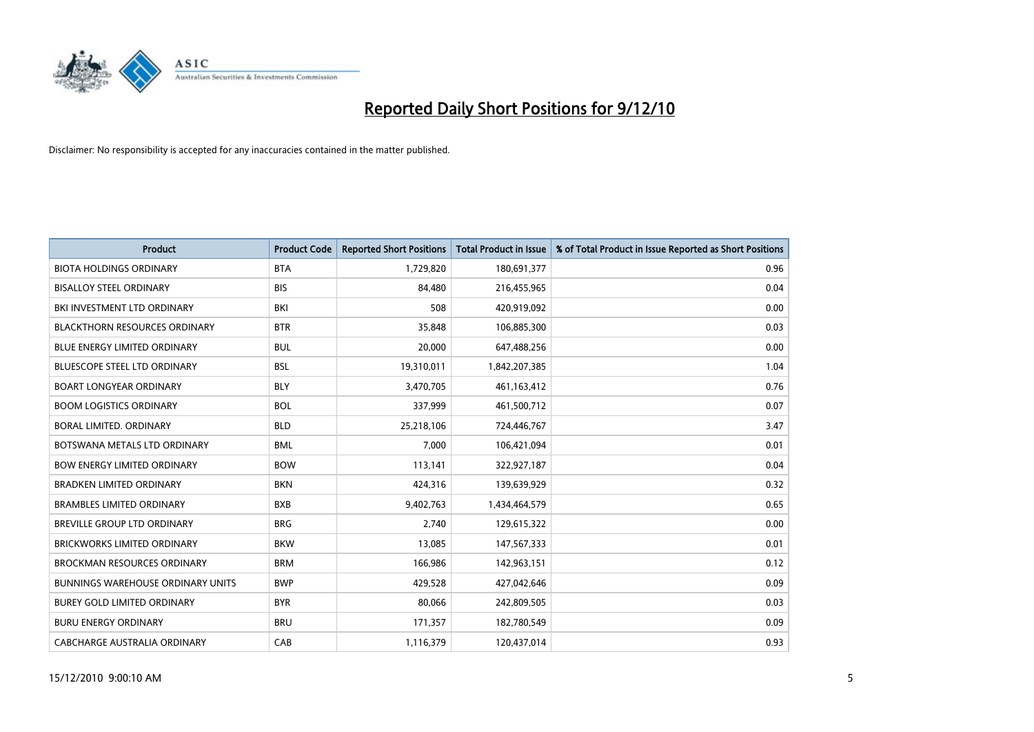

| Product                                  | <b>Product Code</b> | <b>Reported Short Positions</b> | Total Product in Issue | % of Total Product in Issue Reported as Short Positions |
|------------------------------------------|---------------------|---------------------------------|------------------------|---------------------------------------------------------|
| <b>BIOTA HOLDINGS ORDINARY</b>           | <b>BTA</b>          | 1,729,820                       | 180,691,377            | 0.96                                                    |
| <b>BISALLOY STEEL ORDINARY</b>           | <b>BIS</b>          | 84.480                          | 216,455,965            | 0.04                                                    |
| BKI INVESTMENT LTD ORDINARY              | BKI                 | 508                             | 420,919,092            | 0.00                                                    |
| <b>BLACKTHORN RESOURCES ORDINARY</b>     | <b>BTR</b>          | 35,848                          | 106,885,300            | 0.03                                                    |
| <b>BLUE ENERGY LIMITED ORDINARY</b>      | <b>BUL</b>          | 20,000                          | 647,488,256            | 0.00                                                    |
| <b>BLUESCOPE STEEL LTD ORDINARY</b>      | <b>BSL</b>          | 19,310,011                      | 1,842,207,385          | 1.04                                                    |
| <b>BOART LONGYEAR ORDINARY</b>           | <b>BLY</b>          | 3,470,705                       | 461,163,412            | 0.76                                                    |
| <b>BOOM LOGISTICS ORDINARY</b>           | <b>BOL</b>          | 337,999                         | 461,500,712            | 0.07                                                    |
| BORAL LIMITED. ORDINARY                  | <b>BLD</b>          | 25,218,106                      | 724,446,767            | 3.47                                                    |
| BOTSWANA METALS LTD ORDINARY             | <b>BML</b>          | 7,000                           | 106,421,094            | 0.01                                                    |
| <b>BOW ENERGY LIMITED ORDINARY</b>       | <b>BOW</b>          | 113,141                         | 322,927,187            | 0.04                                                    |
| <b>BRADKEN LIMITED ORDINARY</b>          | <b>BKN</b>          | 424,316                         | 139,639,929            | 0.32                                                    |
| <b>BRAMBLES LIMITED ORDINARY</b>         | <b>BXB</b>          | 9,402,763                       | 1,434,464,579          | 0.65                                                    |
| BREVILLE GROUP LTD ORDINARY              | <b>BRG</b>          | 2,740                           | 129,615,322            | 0.00                                                    |
| <b>BRICKWORKS LIMITED ORDINARY</b>       | <b>BKW</b>          | 13,085                          | 147,567,333            | 0.01                                                    |
| <b>BROCKMAN RESOURCES ORDINARY</b>       | <b>BRM</b>          | 166,986                         | 142,963,151            | 0.12                                                    |
| <b>BUNNINGS WAREHOUSE ORDINARY UNITS</b> | <b>BWP</b>          | 429,528                         | 427,042,646            | 0.09                                                    |
| BUREY GOLD LIMITED ORDINARY              | <b>BYR</b>          | 80,066                          | 242,809,505            | 0.03                                                    |
| <b>BURU ENERGY ORDINARY</b>              | <b>BRU</b>          | 171,357                         | 182,780,549            | 0.09                                                    |
| CABCHARGE AUSTRALIA ORDINARY             | CAB                 | 1,116,379                       | 120,437,014            | 0.93                                                    |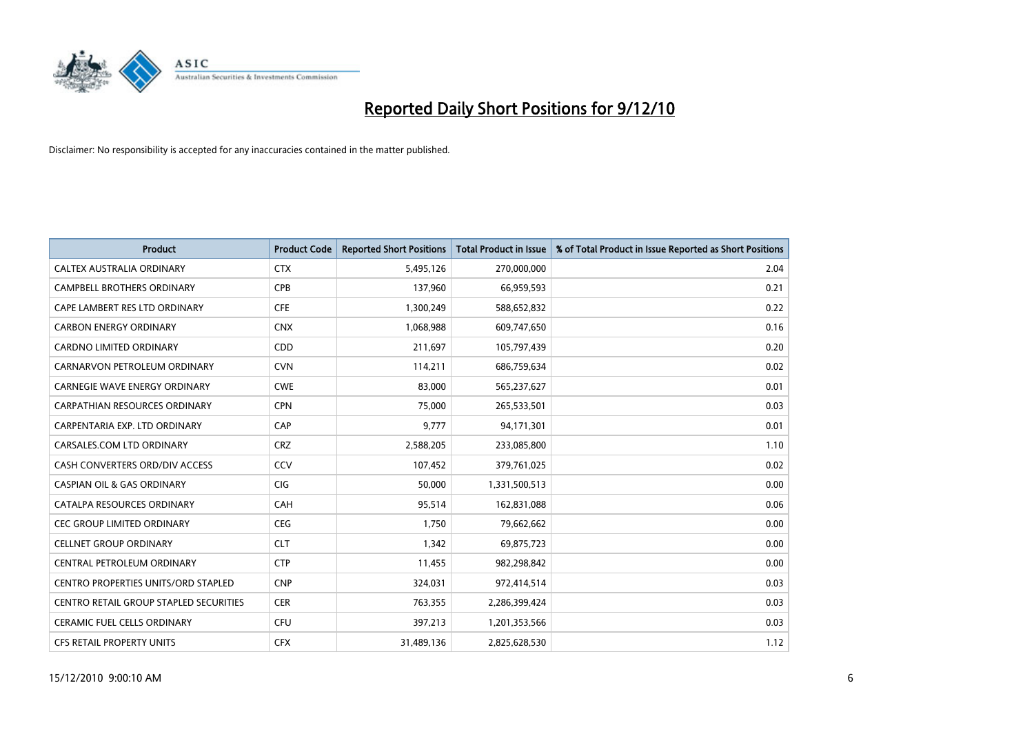

| Product                                    | <b>Product Code</b> | <b>Reported Short Positions</b> | Total Product in Issue | % of Total Product in Issue Reported as Short Positions |
|--------------------------------------------|---------------------|---------------------------------|------------------------|---------------------------------------------------------|
| CALTEX AUSTRALIA ORDINARY                  | <b>CTX</b>          | 5,495,126                       | 270,000,000            | 2.04                                                    |
| <b>CAMPBELL BROTHERS ORDINARY</b>          | <b>CPB</b>          | 137,960                         | 66,959,593             | 0.21                                                    |
| CAPE LAMBERT RES LTD ORDINARY              | <b>CFE</b>          | 1,300,249                       | 588,652,832            | 0.22                                                    |
| <b>CARBON ENERGY ORDINARY</b>              | <b>CNX</b>          | 1,068,988                       | 609,747,650            | 0.16                                                    |
| <b>CARDNO LIMITED ORDINARY</b>             | CDD                 | 211,697                         | 105,797,439            | 0.20                                                    |
| CARNARVON PETROLEUM ORDINARY               | <b>CVN</b>          | 114,211                         | 686,759,634            | 0.02                                                    |
| <b>CARNEGIE WAVE ENERGY ORDINARY</b>       | <b>CWE</b>          | 83.000                          | 565,237,627            | 0.01                                                    |
| <b>CARPATHIAN RESOURCES ORDINARY</b>       | <b>CPN</b>          | 75,000                          | 265,533,501            | 0.03                                                    |
| CARPENTARIA EXP. LTD ORDINARY              | CAP                 | 9,777                           | 94,171,301             | 0.01                                                    |
| CARSALES.COM LTD ORDINARY                  | <b>CRZ</b>          | 2,588,205                       | 233,085,800            | 1.10                                                    |
| CASH CONVERTERS ORD/DIV ACCESS             | CCV                 | 107,452                         | 379,761,025            | 0.02                                                    |
| <b>CASPIAN OIL &amp; GAS ORDINARY</b>      | CIG                 | 50,000                          | 1,331,500,513          | 0.00                                                    |
| <b>CATALPA RESOURCES ORDINARY</b>          | CAH                 | 95,514                          | 162,831,088            | 0.06                                                    |
| <b>CEC GROUP LIMITED ORDINARY</b>          | <b>CEG</b>          | 1,750                           | 79,662,662             | 0.00                                                    |
| <b>CELLNET GROUP ORDINARY</b>              | <b>CLT</b>          | 1,342                           | 69,875,723             | 0.00                                                    |
| CENTRAL PETROLEUM ORDINARY                 | <b>CTP</b>          | 11,455                          | 982,298,842            | 0.00                                                    |
| <b>CENTRO PROPERTIES UNITS/ORD STAPLED</b> | <b>CNP</b>          | 324,031                         | 972,414,514            | 0.03                                                    |
| CENTRO RETAIL GROUP STAPLED SECURITIES     | <b>CER</b>          | 763,355                         | 2,286,399,424          | 0.03                                                    |
| <b>CERAMIC FUEL CELLS ORDINARY</b>         | <b>CFU</b>          | 397,213                         | 1,201,353,566          | 0.03                                                    |
| <b>CFS RETAIL PROPERTY UNITS</b>           | <b>CFX</b>          | 31,489,136                      | 2,825,628,530          | 1.12                                                    |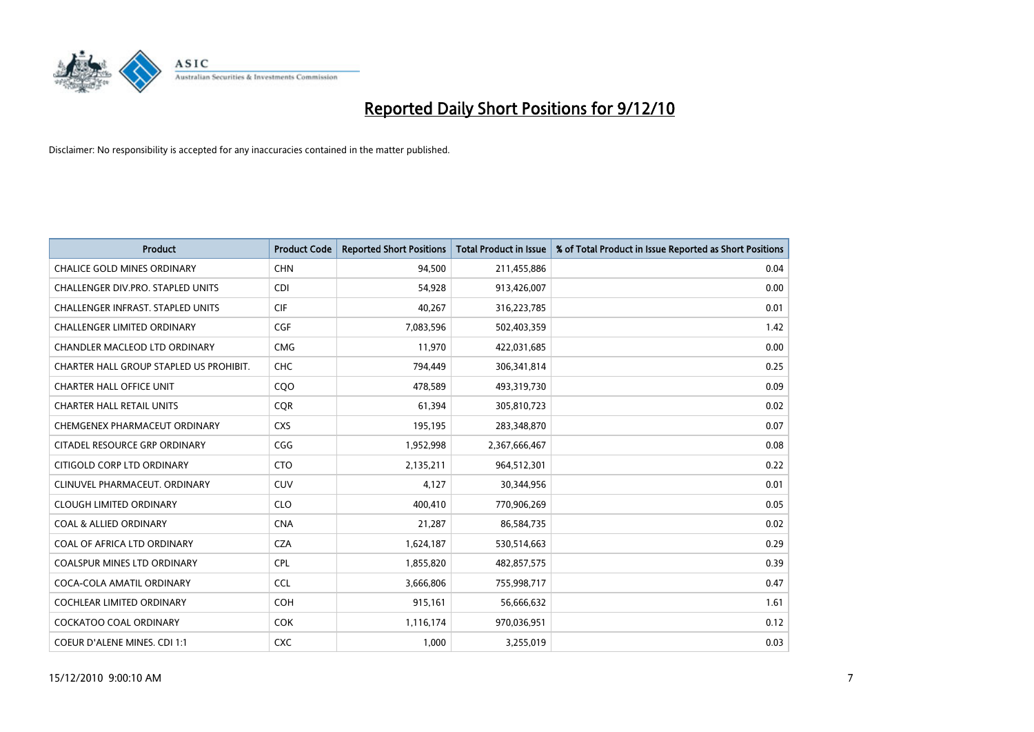

| <b>Product</b>                          | <b>Product Code</b> | <b>Reported Short Positions</b> | <b>Total Product in Issue</b> | % of Total Product in Issue Reported as Short Positions |
|-----------------------------------------|---------------------|---------------------------------|-------------------------------|---------------------------------------------------------|
| <b>CHALICE GOLD MINES ORDINARY</b>      | <b>CHN</b>          | 94,500                          | 211,455,886                   | 0.04                                                    |
| CHALLENGER DIV.PRO. STAPLED UNITS       | <b>CDI</b>          | 54,928                          | 913,426,007                   | 0.00                                                    |
| CHALLENGER INFRAST. STAPLED UNITS       | <b>CIF</b>          | 40,267                          | 316,223,785                   | 0.01                                                    |
| CHALLENGER LIMITED ORDINARY             | <b>CGF</b>          | 7,083,596                       | 502,403,359                   | 1.42                                                    |
| <b>CHANDLER MACLEOD LTD ORDINARY</b>    | <b>CMG</b>          | 11,970                          | 422,031,685                   | 0.00                                                    |
| CHARTER HALL GROUP STAPLED US PROHIBIT. | CHC                 | 794,449                         | 306,341,814                   | 0.25                                                    |
| <b>CHARTER HALL OFFICE UNIT</b>         | COO                 | 478,589                         | 493,319,730                   | 0.09                                                    |
| <b>CHARTER HALL RETAIL UNITS</b>        | <b>CQR</b>          | 61,394                          | 305,810,723                   | 0.02                                                    |
| CHEMGENEX PHARMACEUT ORDINARY           | <b>CXS</b>          | 195,195                         | 283,348,870                   | 0.07                                                    |
| CITADEL RESOURCE GRP ORDINARY           | CGG                 | 1,952,998                       | 2,367,666,467                 | 0.08                                                    |
| CITIGOLD CORP LTD ORDINARY              | <b>CTO</b>          | 2,135,211                       | 964,512,301                   | 0.22                                                    |
| CLINUVEL PHARMACEUT. ORDINARY           | <b>CUV</b>          | 4,127                           | 30,344,956                    | 0.01                                                    |
| <b>CLOUGH LIMITED ORDINARY</b>          | <b>CLO</b>          | 400.410                         | 770,906,269                   | 0.05                                                    |
| <b>COAL &amp; ALLIED ORDINARY</b>       | <b>CNA</b>          | 21,287                          | 86,584,735                    | 0.02                                                    |
| COAL OF AFRICA LTD ORDINARY             | <b>CZA</b>          | 1,624,187                       | 530,514,663                   | 0.29                                                    |
| <b>COALSPUR MINES LTD ORDINARY</b>      | <b>CPL</b>          | 1,855,820                       | 482,857,575                   | 0.39                                                    |
| COCA-COLA AMATIL ORDINARY               | <b>CCL</b>          | 3,666,806                       | 755,998,717                   | 0.47                                                    |
| COCHLEAR LIMITED ORDINARY               | <b>COH</b>          | 915,161                         | 56,666,632                    | 1.61                                                    |
| <b>COCKATOO COAL ORDINARY</b>           | <b>COK</b>          | 1,116,174                       | 970,036,951                   | 0.12                                                    |
| COEUR D'ALENE MINES. CDI 1:1            | <b>CXC</b>          | 1,000                           | 3,255,019                     | 0.03                                                    |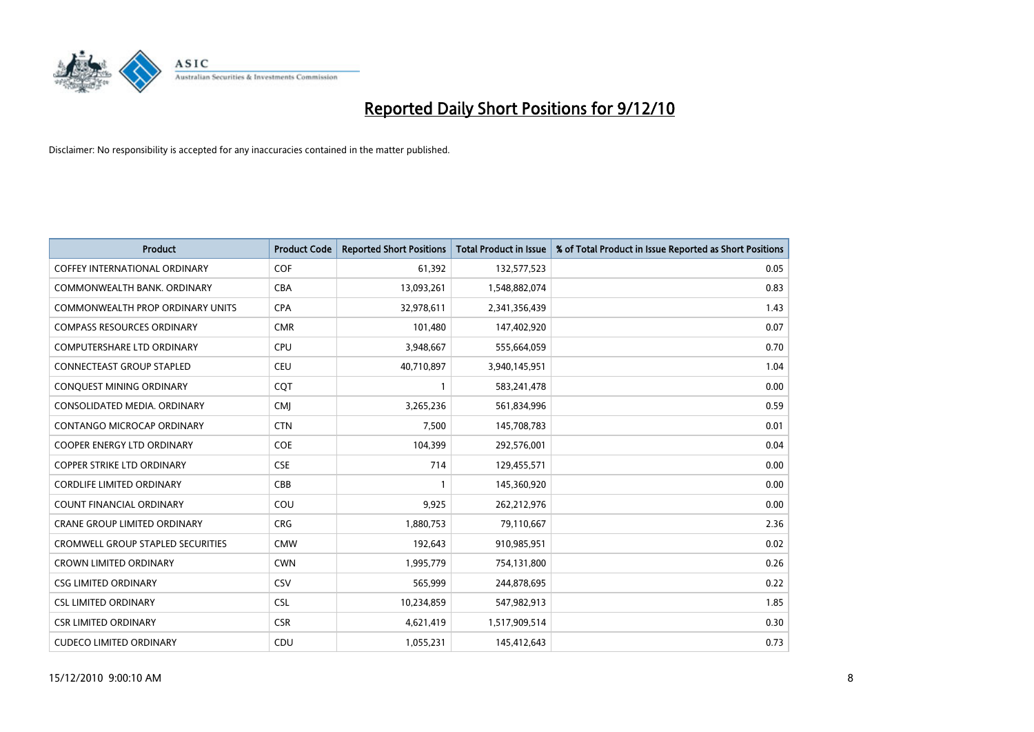

| <b>Product</b>                           | <b>Product Code</b> | <b>Reported Short Positions</b> | <b>Total Product in Issue</b> | % of Total Product in Issue Reported as Short Positions |
|------------------------------------------|---------------------|---------------------------------|-------------------------------|---------------------------------------------------------|
| <b>COFFEY INTERNATIONAL ORDINARY</b>     | <b>COF</b>          | 61,392                          | 132,577,523                   | 0.05                                                    |
| COMMONWEALTH BANK, ORDINARY              | CBA                 | 13,093,261                      | 1,548,882,074                 | 0.83                                                    |
| <b>COMMONWEALTH PROP ORDINARY UNITS</b>  | <b>CPA</b>          | 32,978,611                      | 2,341,356,439                 | 1.43                                                    |
| <b>COMPASS RESOURCES ORDINARY</b>        | <b>CMR</b>          | 101,480                         | 147,402,920                   | 0.07                                                    |
| <b>COMPUTERSHARE LTD ORDINARY</b>        | <b>CPU</b>          | 3,948,667                       | 555,664,059                   | 0.70                                                    |
| <b>CONNECTEAST GROUP STAPLED</b>         | <b>CEU</b>          | 40,710,897                      | 3,940,145,951                 | 1.04                                                    |
| CONQUEST MINING ORDINARY                 | CQT                 |                                 | 583,241,478                   | 0.00                                                    |
| CONSOLIDATED MEDIA, ORDINARY             | <b>CMJ</b>          | 3,265,236                       | 561,834,996                   | 0.59                                                    |
| CONTANGO MICROCAP ORDINARY               | <b>CTN</b>          | 7,500                           | 145,708,783                   | 0.01                                                    |
| <b>COOPER ENERGY LTD ORDINARY</b>        | COE                 | 104,399                         | 292,576,001                   | 0.04                                                    |
| <b>COPPER STRIKE LTD ORDINARY</b>        | <b>CSE</b>          | 714                             | 129,455,571                   | 0.00                                                    |
| <b>CORDLIFE LIMITED ORDINARY</b>         | CBB                 |                                 | 145,360,920                   | 0.00                                                    |
| <b>COUNT FINANCIAL ORDINARY</b>          | COU                 | 9,925                           | 262,212,976                   | 0.00                                                    |
| <b>CRANE GROUP LIMITED ORDINARY</b>      | <b>CRG</b>          | 1,880,753                       | 79,110,667                    | 2.36                                                    |
| <b>CROMWELL GROUP STAPLED SECURITIES</b> | <b>CMW</b>          | 192,643                         | 910,985,951                   | 0.02                                                    |
| <b>CROWN LIMITED ORDINARY</b>            | <b>CWN</b>          | 1,995,779                       | 754,131,800                   | 0.26                                                    |
| <b>CSG LIMITED ORDINARY</b>              | <b>CSV</b>          | 565,999                         | 244,878,695                   | 0.22                                                    |
| <b>CSL LIMITED ORDINARY</b>              | <b>CSL</b>          | 10,234,859                      | 547,982,913                   | 1.85                                                    |
| <b>CSR LIMITED ORDINARY</b>              | <b>CSR</b>          | 4,621,419                       | 1,517,909,514                 | 0.30                                                    |
| <b>CUDECO LIMITED ORDINARY</b>           | CDU                 | 1,055,231                       | 145,412,643                   | 0.73                                                    |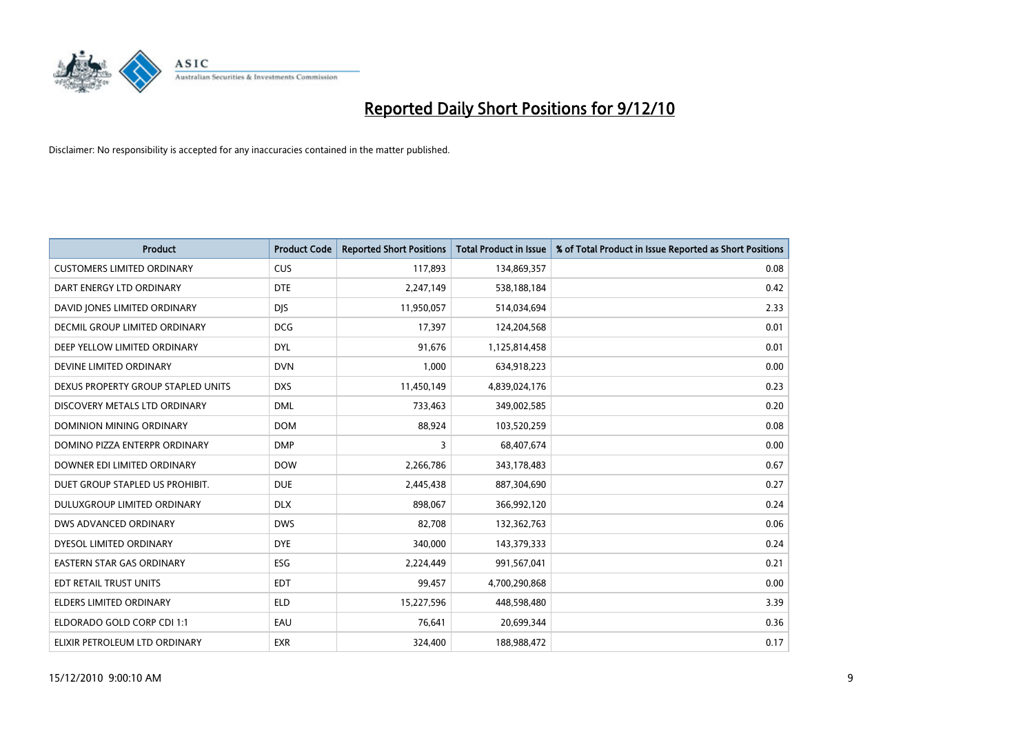

| <b>Product</b>                     | <b>Product Code</b> | <b>Reported Short Positions</b> | Total Product in Issue | % of Total Product in Issue Reported as Short Positions |
|------------------------------------|---------------------|---------------------------------|------------------------|---------------------------------------------------------|
| <b>CUSTOMERS LIMITED ORDINARY</b>  | <b>CUS</b>          | 117,893                         | 134,869,357            | 0.08                                                    |
| DART ENERGY LTD ORDINARY           | <b>DTE</b>          | 2,247,149                       | 538,188,184            | 0.42                                                    |
| DAVID JONES LIMITED ORDINARY       | <b>DJS</b>          | 11,950,057                      | 514,034,694            | 2.33                                                    |
| DECMIL GROUP LIMITED ORDINARY      | <b>DCG</b>          | 17,397                          | 124,204,568            | 0.01                                                    |
| DEEP YELLOW LIMITED ORDINARY       | <b>DYL</b>          | 91,676                          | 1,125,814,458          | 0.01                                                    |
| DEVINE LIMITED ORDINARY            | <b>DVN</b>          | 1,000                           | 634,918,223            | 0.00                                                    |
| DEXUS PROPERTY GROUP STAPLED UNITS | <b>DXS</b>          | 11,450,149                      | 4,839,024,176          | 0.23                                                    |
| DISCOVERY METALS LTD ORDINARY      | <b>DML</b>          | 733,463                         | 349,002,585            | 0.20                                                    |
| DOMINION MINING ORDINARY           | <b>DOM</b>          | 88,924                          | 103,520,259            | 0.08                                                    |
| DOMINO PIZZA ENTERPR ORDINARY      | <b>DMP</b>          | 3                               | 68,407,674             | 0.00                                                    |
| DOWNER EDI LIMITED ORDINARY        | <b>DOW</b>          | 2,266,786                       | 343,178,483            | 0.67                                                    |
| DUET GROUP STAPLED US PROHIBIT.    | <b>DUE</b>          | 2,445,438                       | 887,304,690            | 0.27                                                    |
| DULUXGROUP LIMITED ORDINARY        | <b>DLX</b>          | 898,067                         | 366,992,120            | 0.24                                                    |
| <b>DWS ADVANCED ORDINARY</b>       | <b>DWS</b>          | 82.708                          | 132,362,763            | 0.06                                                    |
| DYESOL LIMITED ORDINARY            | <b>DYE</b>          | 340,000                         | 143,379,333            | 0.24                                                    |
| <b>EASTERN STAR GAS ORDINARY</b>   | ESG                 | 2,224,449                       | 991,567,041            | 0.21                                                    |
| EDT RETAIL TRUST UNITS             | <b>EDT</b>          | 99,457                          | 4,700,290,868          | 0.00                                                    |
| ELDERS LIMITED ORDINARY            | <b>ELD</b>          | 15,227,596                      | 448,598,480            | 3.39                                                    |
| ELDORADO GOLD CORP CDI 1:1         | EAU                 | 76,641                          | 20,699,344             | 0.36                                                    |
| ELIXIR PETROLEUM LTD ORDINARY      | <b>EXR</b>          | 324,400                         | 188,988,472            | 0.17                                                    |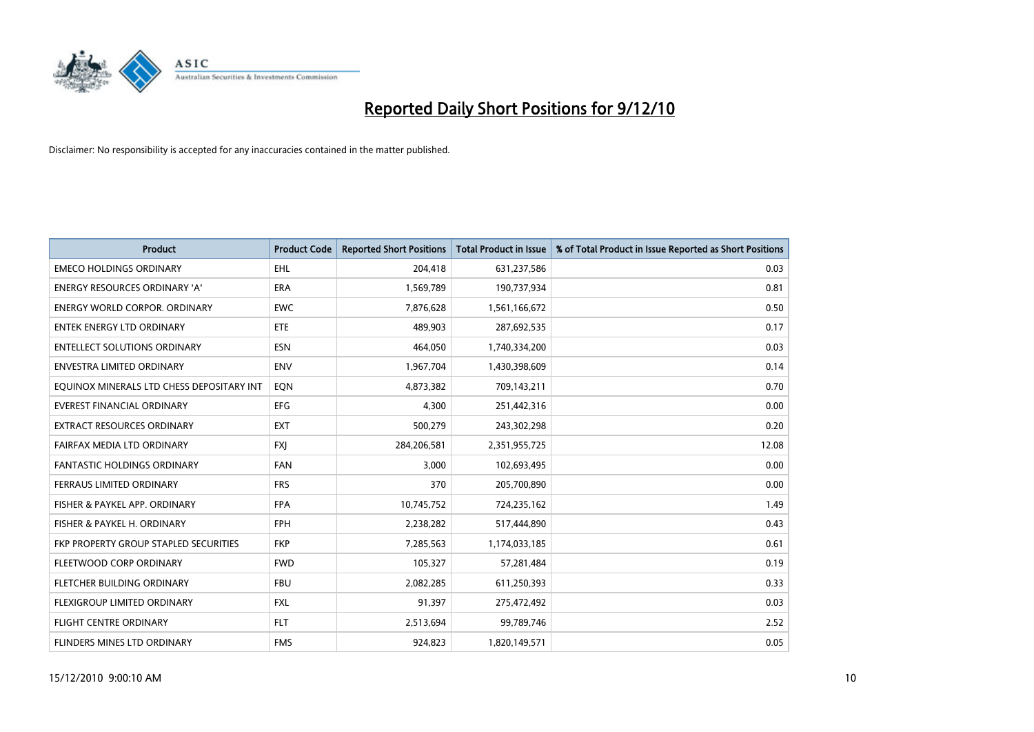

| <b>Product</b>                            | <b>Product Code</b> | <b>Reported Short Positions</b> | <b>Total Product in Issue</b> | % of Total Product in Issue Reported as Short Positions |
|-------------------------------------------|---------------------|---------------------------------|-------------------------------|---------------------------------------------------------|
| <b>EMECO HOLDINGS ORDINARY</b>            | <b>EHL</b>          | 204,418                         | 631,237,586                   | 0.03                                                    |
| <b>ENERGY RESOURCES ORDINARY 'A'</b>      | <b>ERA</b>          | 1,569,789                       | 190,737,934                   | 0.81                                                    |
| <b>ENERGY WORLD CORPOR, ORDINARY</b>      | <b>EWC</b>          | 7,876,628                       | 1,561,166,672                 | 0.50                                                    |
| ENTEK ENERGY LTD ORDINARY                 | ETE                 | 489,903                         | 287,692,535                   | 0.17                                                    |
| <b>ENTELLECT SOLUTIONS ORDINARY</b>       | <b>ESN</b>          | 464.050                         | 1,740,334,200                 | 0.03                                                    |
| ENVESTRA LIMITED ORDINARY                 | <b>ENV</b>          | 1,967,704                       | 1,430,398,609                 | 0.14                                                    |
| EQUINOX MINERALS LTD CHESS DEPOSITARY INT | EON                 | 4,873,382                       | 709,143,211                   | 0.70                                                    |
| <b>EVEREST FINANCIAL ORDINARY</b>         | <b>EFG</b>          | 4,300                           | 251,442,316                   | 0.00                                                    |
| EXTRACT RESOURCES ORDINARY                | <b>EXT</b>          | 500,279                         | 243,302,298                   | 0.20                                                    |
| FAIRFAX MEDIA LTD ORDINARY                | <b>FXI</b>          | 284,206,581                     | 2,351,955,725                 | 12.08                                                   |
| <b>FANTASTIC HOLDINGS ORDINARY</b>        | <b>FAN</b>          | 3,000                           | 102,693,495                   | 0.00                                                    |
| FERRAUS LIMITED ORDINARY                  | <b>FRS</b>          | 370                             | 205,700,890                   | 0.00                                                    |
| FISHER & PAYKEL APP. ORDINARY             | <b>FPA</b>          | 10,745,752                      | 724,235,162                   | 1.49                                                    |
| FISHER & PAYKEL H. ORDINARY               | FPH                 | 2,238,282                       | 517,444,890                   | 0.43                                                    |
| FKP PROPERTY GROUP STAPLED SECURITIES     | <b>FKP</b>          | 7,285,563                       | 1,174,033,185                 | 0.61                                                    |
| FLEETWOOD CORP ORDINARY                   | <b>FWD</b>          | 105,327                         | 57,281,484                    | 0.19                                                    |
| FLETCHER BUILDING ORDINARY                | <b>FBU</b>          | 2,082,285                       | 611,250,393                   | 0.33                                                    |
| FLEXIGROUP LIMITED ORDINARY               | <b>FXL</b>          | 91,397                          | 275,472,492                   | 0.03                                                    |
| <b>FLIGHT CENTRE ORDINARY</b>             | <b>FLT</b>          | 2,513,694                       | 99,789,746                    | 2.52                                                    |
| <b>FLINDERS MINES LTD ORDINARY</b>        | <b>FMS</b>          | 924.823                         | 1,820,149,571                 | 0.05                                                    |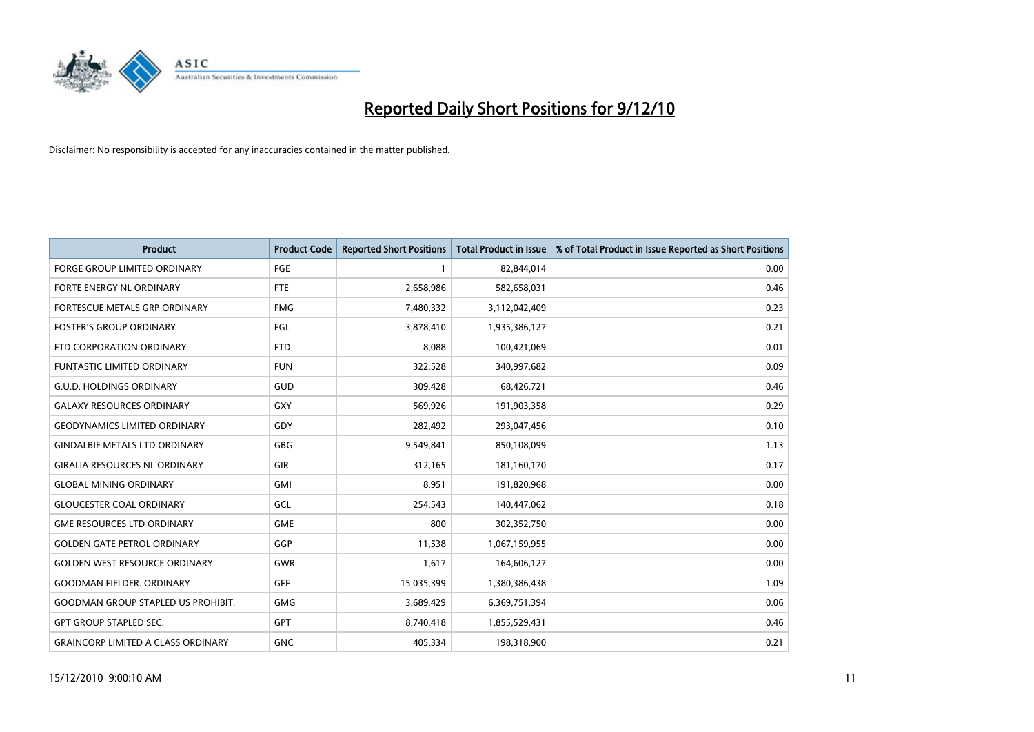

| Product                                   | <b>Product Code</b> | <b>Reported Short Positions</b> | <b>Total Product in Issue</b> | % of Total Product in Issue Reported as Short Positions |
|-------------------------------------------|---------------------|---------------------------------|-------------------------------|---------------------------------------------------------|
| <b>FORGE GROUP LIMITED ORDINARY</b>       | FGE                 |                                 | 82,844,014                    | 0.00                                                    |
| FORTE ENERGY NL ORDINARY                  | <b>FTE</b>          | 2,658,986                       | 582,658,031                   | 0.46                                                    |
| FORTESCUE METALS GRP ORDINARY             | <b>FMG</b>          | 7,480,332                       | 3,112,042,409                 | 0.23                                                    |
| <b>FOSTER'S GROUP ORDINARY</b>            | FGL                 | 3,878,410                       | 1,935,386,127                 | 0.21                                                    |
| FTD CORPORATION ORDINARY                  | <b>FTD</b>          | 8,088                           | 100,421,069                   | 0.01                                                    |
| <b>FUNTASTIC LIMITED ORDINARY</b>         | <b>FUN</b>          | 322,528                         | 340,997,682                   | 0.09                                                    |
| <b>G.U.D. HOLDINGS ORDINARY</b>           | <b>GUD</b>          | 309,428                         | 68,426,721                    | 0.46                                                    |
| <b>GALAXY RESOURCES ORDINARY</b>          | GXY                 | 569,926                         | 191,903,358                   | 0.29                                                    |
| <b>GEODYNAMICS LIMITED ORDINARY</b>       | GDY                 | 282,492                         | 293,047,456                   | 0.10                                                    |
| <b>GINDALBIE METALS LTD ORDINARY</b>      | GBG                 | 9,549,841                       | 850,108,099                   | 1.13                                                    |
| <b>GIRALIA RESOURCES NL ORDINARY</b>      | GIR                 | 312,165                         | 181,160,170                   | 0.17                                                    |
| <b>GLOBAL MINING ORDINARY</b>             | <b>GMI</b>          | 8,951                           | 191,820,968                   | 0.00                                                    |
| <b>GLOUCESTER COAL ORDINARY</b>           | GCL                 | 254,543                         | 140,447,062                   | 0.18                                                    |
| <b>GME RESOURCES LTD ORDINARY</b>         | <b>GME</b>          | 800                             | 302,352,750                   | 0.00                                                    |
| <b>GOLDEN GATE PETROL ORDINARY</b>        | GGP                 | 11,538                          | 1,067,159,955                 | 0.00                                                    |
| <b>GOLDEN WEST RESOURCE ORDINARY</b>      | GWR                 | 1,617                           | 164,606,127                   | 0.00                                                    |
| <b>GOODMAN FIELDER, ORDINARY</b>          | <b>GFF</b>          | 15,035,399                      | 1,380,386,438                 | 1.09                                                    |
| <b>GOODMAN GROUP STAPLED US PROHIBIT.</b> | <b>GMG</b>          | 3,689,429                       | 6,369,751,394                 | 0.06                                                    |
| <b>GPT GROUP STAPLED SEC.</b>             | <b>GPT</b>          | 8,740,418                       | 1,855,529,431                 | 0.46                                                    |
| <b>GRAINCORP LIMITED A CLASS ORDINARY</b> | <b>GNC</b>          | 405,334                         | 198,318,900                   | 0.21                                                    |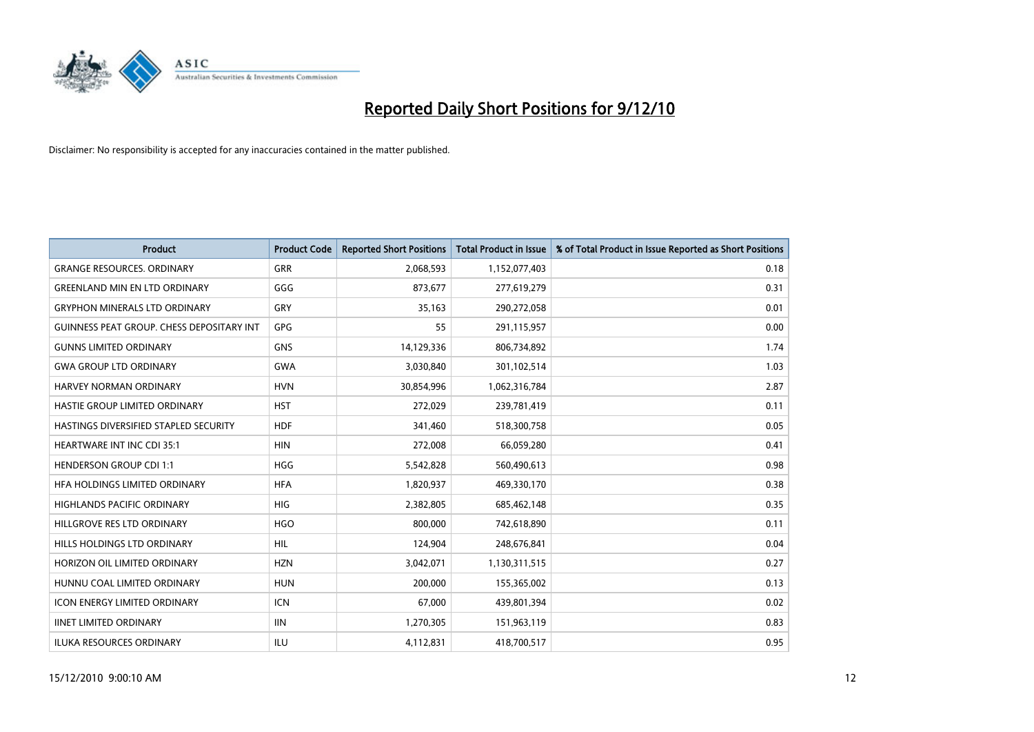

| <b>Product</b>                                   | <b>Product Code</b> | <b>Reported Short Positions</b> | <b>Total Product in Issue</b> | % of Total Product in Issue Reported as Short Positions |
|--------------------------------------------------|---------------------|---------------------------------|-------------------------------|---------------------------------------------------------|
| <b>GRANGE RESOURCES, ORDINARY</b>                | <b>GRR</b>          | 2,068,593                       | 1,152,077,403                 | 0.18                                                    |
| <b>GREENLAND MIN EN LTD ORDINARY</b>             | GGG                 | 873,677                         | 277,619,279                   | 0.31                                                    |
| <b>GRYPHON MINERALS LTD ORDINARY</b>             | GRY                 | 35,163                          | 290,272,058                   | 0.01                                                    |
| <b>GUINNESS PEAT GROUP. CHESS DEPOSITARY INT</b> | <b>GPG</b>          | 55                              | 291,115,957                   | 0.00                                                    |
| <b>GUNNS LIMITED ORDINARY</b>                    | <b>GNS</b>          | 14,129,336                      | 806,734,892                   | 1.74                                                    |
| <b>GWA GROUP LTD ORDINARY</b>                    | <b>GWA</b>          | 3,030,840                       | 301,102,514                   | 1.03                                                    |
| <b>HARVEY NORMAN ORDINARY</b>                    | <b>HVN</b>          | 30,854,996                      | 1,062,316,784                 | 2.87                                                    |
| <b>HASTIE GROUP LIMITED ORDINARY</b>             | <b>HST</b>          | 272,029                         | 239,781,419                   | 0.11                                                    |
| HASTINGS DIVERSIFIED STAPLED SECURITY            | <b>HDF</b>          | 341,460                         | 518,300,758                   | 0.05                                                    |
| HEARTWARE INT INC CDI 35:1                       | <b>HIN</b>          | 272,008                         | 66,059,280                    | 0.41                                                    |
| <b>HENDERSON GROUP CDI 1:1</b>                   | HGG                 | 5,542,828                       | 560,490,613                   | 0.98                                                    |
| HFA HOLDINGS LIMITED ORDINARY                    | <b>HFA</b>          | 1,820,937                       | 469,330,170                   | 0.38                                                    |
| <b>HIGHLANDS PACIFIC ORDINARY</b>                | <b>HIG</b>          | 2,382,805                       | 685,462,148                   | 0.35                                                    |
| HILLGROVE RES LTD ORDINARY                       | <b>HGO</b>          | 800.000                         | 742,618,890                   | 0.11                                                    |
| HILLS HOLDINGS LTD ORDINARY                      | <b>HIL</b>          | 124,904                         | 248,676,841                   | 0.04                                                    |
| HORIZON OIL LIMITED ORDINARY                     | <b>HZN</b>          | 3,042,071                       | 1,130,311,515                 | 0.27                                                    |
| HUNNU COAL LIMITED ORDINARY                      | <b>HUN</b>          | 200,000                         | 155,365,002                   | 0.13                                                    |
| ICON ENERGY LIMITED ORDINARY                     | <b>ICN</b>          | 67,000                          | 439,801,394                   | 0.02                                                    |
| <b>IINET LIMITED ORDINARY</b>                    | <b>IIN</b>          | 1,270,305                       | 151,963,119                   | 0.83                                                    |
| ILUKA RESOURCES ORDINARY                         | ILU                 | 4,112,831                       | 418,700,517                   | 0.95                                                    |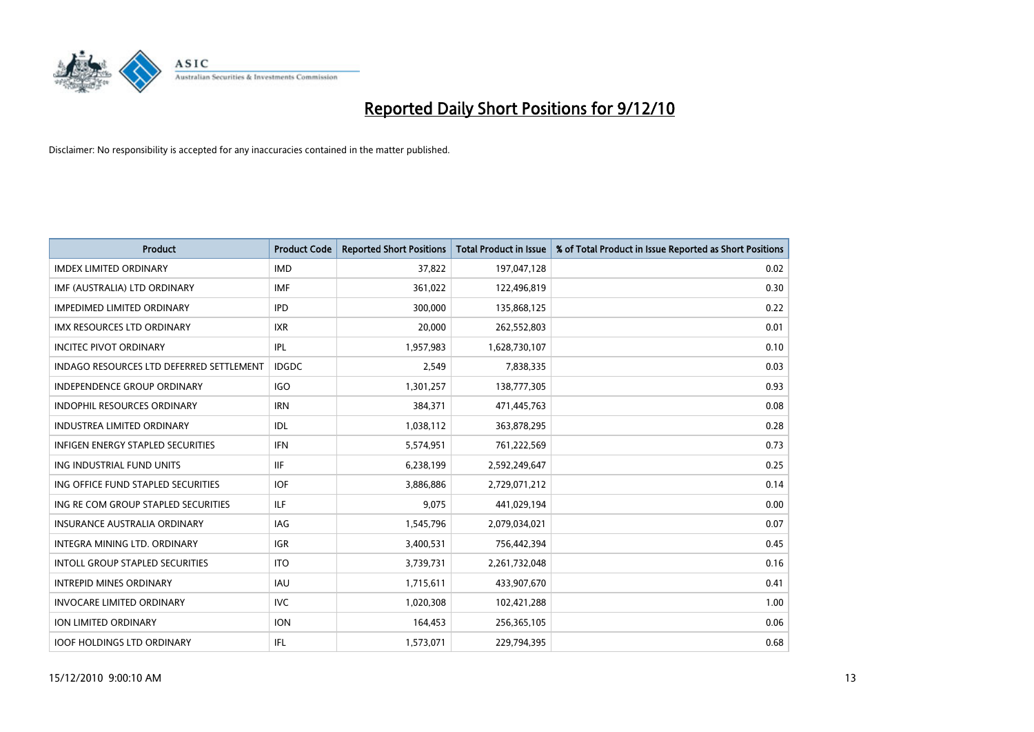

| Product                                         | <b>Product Code</b> | <b>Reported Short Positions</b> | <b>Total Product in Issue</b> | % of Total Product in Issue Reported as Short Positions |
|-------------------------------------------------|---------------------|---------------------------------|-------------------------------|---------------------------------------------------------|
| <b>IMDEX LIMITED ORDINARY</b>                   | <b>IMD</b>          | 37,822                          | 197,047,128                   | 0.02                                                    |
| IMF (AUSTRALIA) LTD ORDINARY                    | <b>IMF</b>          | 361,022                         | 122,496,819                   | 0.30                                                    |
| <b>IMPEDIMED LIMITED ORDINARY</b>               | <b>IPD</b>          | 300,000                         | 135,868,125                   | 0.22                                                    |
| IMX RESOURCES LTD ORDINARY                      | <b>IXR</b>          | 20,000                          | 262,552,803                   | 0.01                                                    |
| <b>INCITEC PIVOT ORDINARY</b>                   | IPL                 | 1,957,983                       | 1,628,730,107                 | 0.10                                                    |
| <b>INDAGO RESOURCES LTD DEFERRED SETTLEMENT</b> | <b>IDGDC</b>        | 2,549                           | 7,838,335                     | 0.03                                                    |
| <b>INDEPENDENCE GROUP ORDINARY</b>              | <b>IGO</b>          | 1,301,257                       | 138,777,305                   | 0.93                                                    |
| <b>INDOPHIL RESOURCES ORDINARY</b>              | <b>IRN</b>          | 384,371                         | 471,445,763                   | 0.08                                                    |
| <b>INDUSTREA LIMITED ORDINARY</b>               | IDL                 | 1,038,112                       | 363,878,295                   | 0.28                                                    |
| <b>INFIGEN ENERGY STAPLED SECURITIES</b>        | <b>IFN</b>          | 5,574,951                       | 761,222,569                   | 0.73                                                    |
| ING INDUSTRIAL FUND UNITS                       | <b>IIF</b>          | 6,238,199                       | 2,592,249,647                 | 0.25                                                    |
| ING OFFICE FUND STAPLED SECURITIES              | <b>IOF</b>          | 3,886,886                       | 2,729,071,212                 | 0.14                                                    |
| ING RE COM GROUP STAPLED SECURITIES             | ILF                 | 9,075                           | 441,029,194                   | 0.00                                                    |
| <b>INSURANCE AUSTRALIA ORDINARY</b>             | <b>IAG</b>          | 1,545,796                       | 2,079,034,021                 | 0.07                                                    |
| INTEGRA MINING LTD, ORDINARY                    | <b>IGR</b>          | 3,400,531                       | 756,442,394                   | 0.45                                                    |
| <b>INTOLL GROUP STAPLED SECURITIES</b>          | <b>ITO</b>          | 3,739,731                       | 2,261,732,048                 | 0.16                                                    |
| <b>INTREPID MINES ORDINARY</b>                  | <b>IAU</b>          | 1,715,611                       | 433,907,670                   | 0.41                                                    |
| <b>INVOCARE LIMITED ORDINARY</b>                | <b>IVC</b>          | 1,020,308                       | 102,421,288                   | 1.00                                                    |
| <b>ION LIMITED ORDINARY</b>                     | <b>ION</b>          | 164,453                         | 256,365,105                   | 0.06                                                    |
| <b>IOOF HOLDINGS LTD ORDINARY</b>               | IFL                 | 1,573,071                       | 229,794,395                   | 0.68                                                    |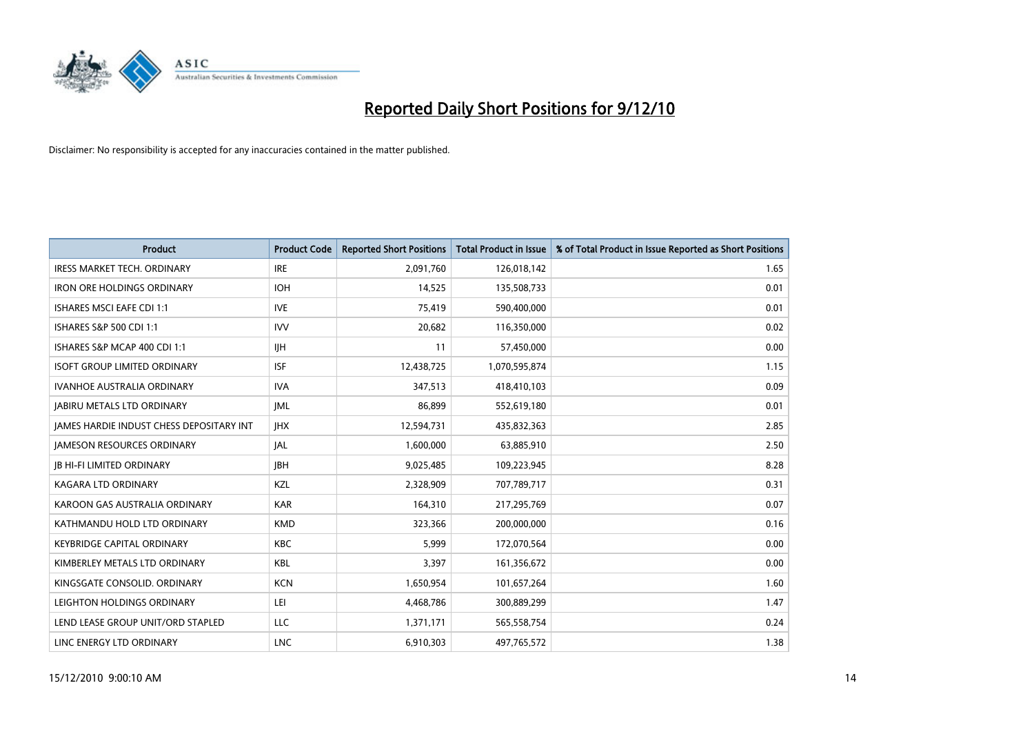

| Product                                  | <b>Product Code</b> | <b>Reported Short Positions</b> | <b>Total Product in Issue</b> | % of Total Product in Issue Reported as Short Positions |
|------------------------------------------|---------------------|---------------------------------|-------------------------------|---------------------------------------------------------|
| <b>IRESS MARKET TECH. ORDINARY</b>       | <b>IRE</b>          | 2,091,760                       | 126,018,142                   | 1.65                                                    |
| <b>IRON ORE HOLDINGS ORDINARY</b>        | <b>IOH</b>          | 14,525                          | 135,508,733                   | 0.01                                                    |
| <b>ISHARES MSCI EAFE CDI 1:1</b>         | <b>IVE</b>          | 75,419                          | 590,400,000                   | 0.01                                                    |
| ISHARES S&P 500 CDI 1:1                  | <b>IVV</b>          | 20,682                          | 116,350,000                   | 0.02                                                    |
| ISHARES S&P MCAP 400 CDI 1:1             | <b>IIH</b>          | 11                              | 57,450,000                    | 0.00                                                    |
| <b>ISOFT GROUP LIMITED ORDINARY</b>      | <b>ISF</b>          | 12,438,725                      | 1,070,595,874                 | 1.15                                                    |
| <b>IVANHOE AUSTRALIA ORDINARY</b>        | <b>IVA</b>          | 347,513                         | 418,410,103                   | 0.09                                                    |
| <b>JABIRU METALS LTD ORDINARY</b>        | <b>JML</b>          | 86,899                          | 552,619,180                   | 0.01                                                    |
| JAMES HARDIE INDUST CHESS DEPOSITARY INT | <b>IHX</b>          | 12,594,731                      | 435,832,363                   | 2.85                                                    |
| <b>JAMESON RESOURCES ORDINARY</b>        | <b>JAL</b>          | 1,600,000                       | 63,885,910                    | 2.50                                                    |
| <b>JB HI-FI LIMITED ORDINARY</b>         | <b>IBH</b>          | 9,025,485                       | 109,223,945                   | 8.28                                                    |
| <b>KAGARA LTD ORDINARY</b>               | KZL                 | 2,328,909                       | 707,789,717                   | 0.31                                                    |
| KAROON GAS AUSTRALIA ORDINARY            | <b>KAR</b>          | 164,310                         | 217,295,769                   | 0.07                                                    |
| KATHMANDU HOLD LTD ORDINARY              | <b>KMD</b>          | 323,366                         | 200,000,000                   | 0.16                                                    |
| <b>KEYBRIDGE CAPITAL ORDINARY</b>        | <b>KBC</b>          | 5,999                           | 172,070,564                   | 0.00                                                    |
| KIMBERLEY METALS LTD ORDINARY            | <b>KBL</b>          | 3,397                           | 161,356,672                   | 0.00                                                    |
| KINGSGATE CONSOLID. ORDINARY             | <b>KCN</b>          | 1,650,954                       | 101,657,264                   | 1.60                                                    |
| LEIGHTON HOLDINGS ORDINARY               | LEI                 | 4,468,786                       | 300,889,299                   | 1.47                                                    |
| LEND LEASE GROUP UNIT/ORD STAPLED        | LLC                 | 1,371,171                       | 565,558,754                   | 0.24                                                    |
| LINC ENERGY LTD ORDINARY                 | <b>LNC</b>          | 6,910,303                       | 497,765,572                   | 1.38                                                    |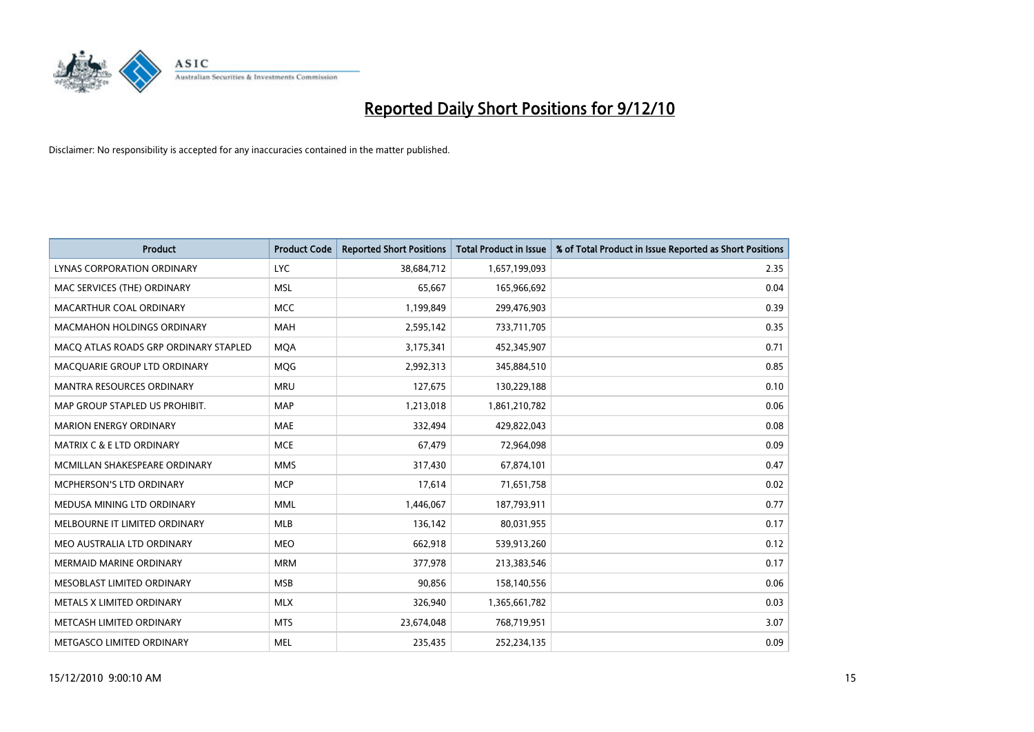

| <b>Product</b>                        | <b>Product Code</b> | <b>Reported Short Positions</b> | Total Product in Issue | % of Total Product in Issue Reported as Short Positions |
|---------------------------------------|---------------------|---------------------------------|------------------------|---------------------------------------------------------|
| LYNAS CORPORATION ORDINARY            | <b>LYC</b>          | 38,684,712                      | 1,657,199,093          | 2.35                                                    |
| MAC SERVICES (THE) ORDINARY           | <b>MSL</b>          | 65,667                          | 165,966,692            | 0.04                                                    |
| MACARTHUR COAL ORDINARY               | <b>MCC</b>          | 1,199,849                       | 299,476,903            | 0.39                                                    |
| MACMAHON HOLDINGS ORDINARY            | <b>MAH</b>          | 2,595,142                       | 733,711,705            | 0.35                                                    |
| MACQ ATLAS ROADS GRP ORDINARY STAPLED | <b>MOA</b>          | 3,175,341                       | 452,345,907            | 0.71                                                    |
| MACQUARIE GROUP LTD ORDINARY          | MQG                 | 2,992,313                       | 345,884,510            | 0.85                                                    |
| <b>MANTRA RESOURCES ORDINARY</b>      | <b>MRU</b>          | 127,675                         | 130,229,188            | 0.10                                                    |
| MAP GROUP STAPLED US PROHIBIT.        | <b>MAP</b>          | 1,213,018                       | 1,861,210,782          | 0.06                                                    |
| <b>MARION ENERGY ORDINARY</b>         | <b>MAE</b>          | 332,494                         | 429,822,043            | 0.08                                                    |
| <b>MATRIX C &amp; E LTD ORDINARY</b>  | <b>MCE</b>          | 67,479                          | 72,964,098             | 0.09                                                    |
| MCMILLAN SHAKESPEARE ORDINARY         | <b>MMS</b>          | 317,430                         | 67,874,101             | 0.47                                                    |
| MCPHERSON'S LTD ORDINARY              | <b>MCP</b>          | 17,614                          | 71,651,758             | 0.02                                                    |
| MEDUSA MINING LTD ORDINARY            | <b>MML</b>          | 1,446,067                       | 187,793,911            | 0.77                                                    |
| MELBOURNE IT LIMITED ORDINARY         | <b>MLB</b>          | 136,142                         | 80,031,955             | 0.17                                                    |
| MEO AUSTRALIA LTD ORDINARY            | <b>MEO</b>          | 662,918                         | 539,913,260            | 0.12                                                    |
| <b>MERMAID MARINE ORDINARY</b>        | <b>MRM</b>          | 377,978                         | 213,383,546            | 0.17                                                    |
| MESOBLAST LIMITED ORDINARY            | <b>MSB</b>          | 90,856                          | 158,140,556            | 0.06                                                    |
| METALS X LIMITED ORDINARY             | <b>MLX</b>          | 326,940                         | 1,365,661,782          | 0.03                                                    |
| METCASH LIMITED ORDINARY              | <b>MTS</b>          | 23,674,048                      | 768,719,951            | 3.07                                                    |
| METGASCO LIMITED ORDINARY             | <b>MEL</b>          | 235,435                         | 252,234,135            | 0.09                                                    |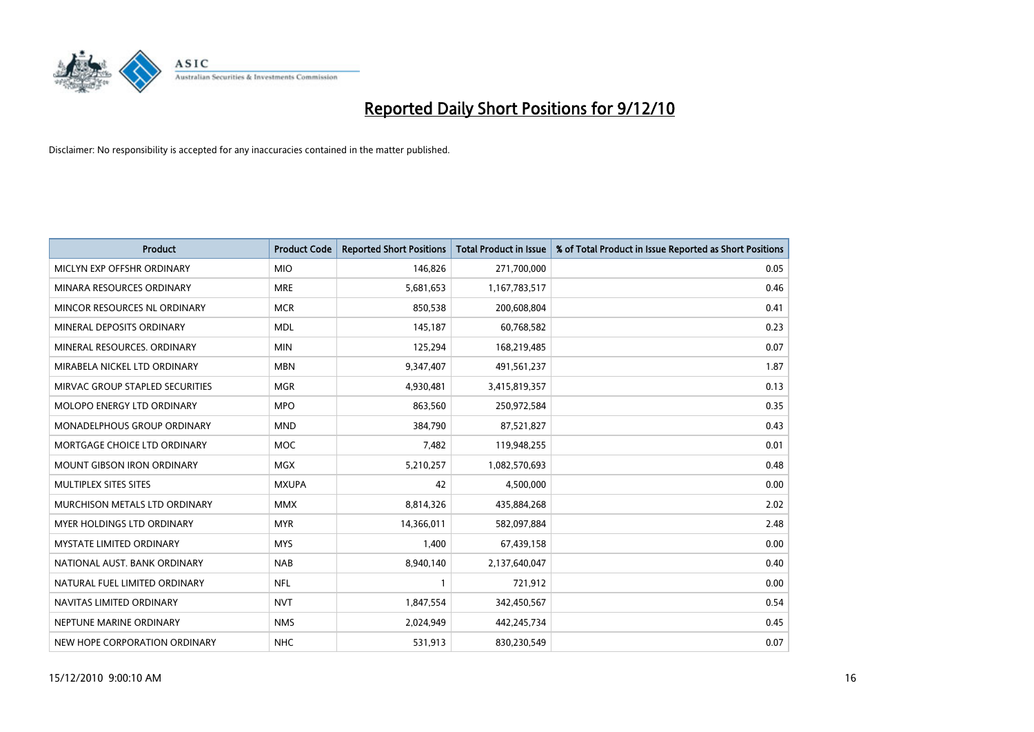

| Product                           | <b>Product Code</b> | <b>Reported Short Positions</b> | Total Product in Issue | % of Total Product in Issue Reported as Short Positions |
|-----------------------------------|---------------------|---------------------------------|------------------------|---------------------------------------------------------|
| MICLYN EXP OFFSHR ORDINARY        | <b>MIO</b>          | 146,826                         | 271,700,000            | 0.05                                                    |
| MINARA RESOURCES ORDINARY         | <b>MRE</b>          | 5,681,653                       | 1,167,783,517          | 0.46                                                    |
| MINCOR RESOURCES NL ORDINARY      | <b>MCR</b>          | 850,538                         | 200,608,804            | 0.41                                                    |
| MINERAL DEPOSITS ORDINARY         | <b>MDL</b>          | 145,187                         | 60,768,582             | 0.23                                                    |
| MINERAL RESOURCES, ORDINARY       | <b>MIN</b>          | 125,294                         | 168,219,485            | 0.07                                                    |
| MIRABELA NICKEL LTD ORDINARY      | <b>MBN</b>          | 9,347,407                       | 491,561,237            | 1.87                                                    |
| MIRVAC GROUP STAPLED SECURITIES   | <b>MGR</b>          | 4,930,481                       | 3,415,819,357          | 0.13                                                    |
| MOLOPO ENERGY LTD ORDINARY        | <b>MPO</b>          | 863,560                         | 250,972,584            | 0.35                                                    |
| MONADELPHOUS GROUP ORDINARY       | <b>MND</b>          | 384,790                         | 87,521,827             | 0.43                                                    |
| MORTGAGE CHOICE LTD ORDINARY      | <b>MOC</b>          | 7,482                           | 119,948,255            | 0.01                                                    |
| <b>MOUNT GIBSON IRON ORDINARY</b> | <b>MGX</b>          | 5,210,257                       | 1,082,570,693          | 0.48                                                    |
| MULTIPLEX SITES SITES             | <b>MXUPA</b>        | 42                              | 4,500,000              | 0.00                                                    |
| MURCHISON METALS LTD ORDINARY     | <b>MMX</b>          | 8,814,326                       | 435,884,268            | 2.02                                                    |
| MYER HOLDINGS LTD ORDINARY        | <b>MYR</b>          | 14,366,011                      | 582,097,884            | 2.48                                                    |
| <b>MYSTATE LIMITED ORDINARY</b>   | <b>MYS</b>          | 1,400                           | 67,439,158             | 0.00                                                    |
| NATIONAL AUST, BANK ORDINARY      | <b>NAB</b>          | 8,940,140                       | 2,137,640,047          | 0.40                                                    |
| NATURAL FUEL LIMITED ORDINARY     | <b>NFL</b>          |                                 | 721,912                | 0.00                                                    |
| NAVITAS LIMITED ORDINARY          | <b>NVT</b>          | 1,847,554                       | 342,450,567            | 0.54                                                    |
| NEPTUNE MARINE ORDINARY           | <b>NMS</b>          | 2,024,949                       | 442,245,734            | 0.45                                                    |
| NEW HOPE CORPORATION ORDINARY     | <b>NHC</b>          | 531,913                         | 830,230,549            | 0.07                                                    |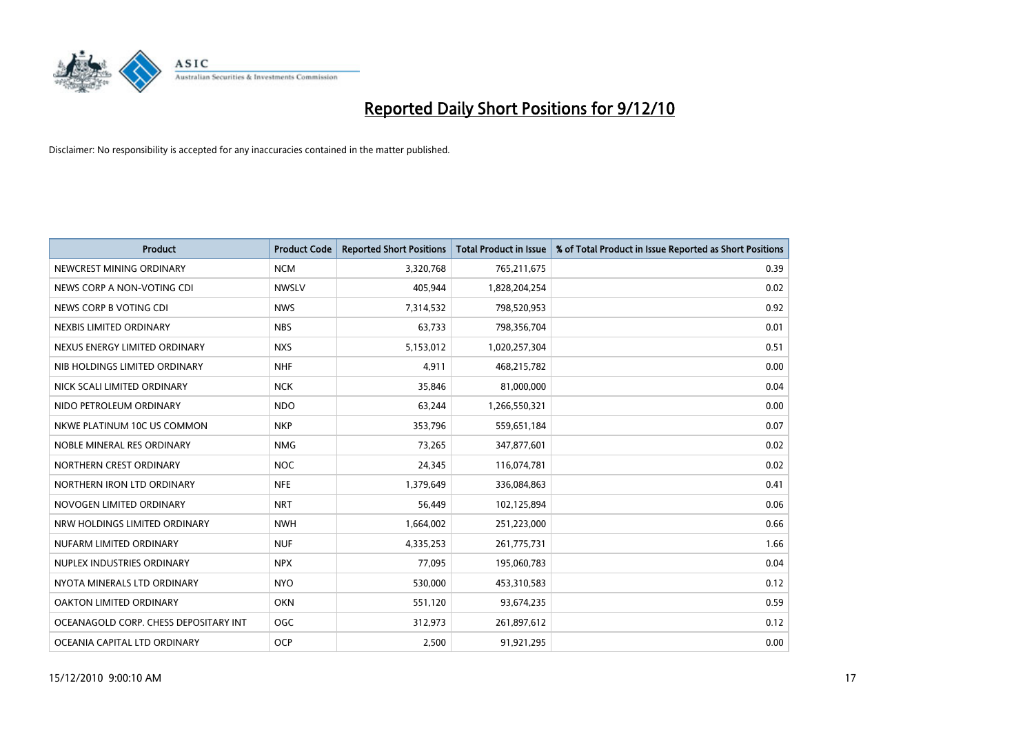

| Product                               | <b>Product Code</b> | <b>Reported Short Positions</b> | Total Product in Issue | % of Total Product in Issue Reported as Short Positions |
|---------------------------------------|---------------------|---------------------------------|------------------------|---------------------------------------------------------|
| NEWCREST MINING ORDINARY              | <b>NCM</b>          | 3,320,768                       | 765,211,675            | 0.39                                                    |
| NEWS CORP A NON-VOTING CDI            | <b>NWSLV</b>        | 405.944                         | 1,828,204,254          | 0.02                                                    |
| NEWS CORP B VOTING CDI                | <b>NWS</b>          | 7,314,532                       | 798,520,953            | 0.92                                                    |
| NEXBIS LIMITED ORDINARY               | <b>NBS</b>          | 63,733                          | 798,356,704            | 0.01                                                    |
| NEXUS ENERGY LIMITED ORDINARY         | <b>NXS</b>          | 5,153,012                       | 1,020,257,304          | 0.51                                                    |
| NIB HOLDINGS LIMITED ORDINARY         | <b>NHF</b>          | 4,911                           | 468,215,782            | 0.00                                                    |
| NICK SCALI LIMITED ORDINARY           | <b>NCK</b>          | 35,846                          | 81,000,000             | 0.04                                                    |
| NIDO PETROLEUM ORDINARY               | <b>NDO</b>          | 63,244                          | 1,266,550,321          | 0.00                                                    |
| NKWE PLATINUM 10C US COMMON           | <b>NKP</b>          | 353,796                         | 559,651,184            | 0.07                                                    |
| NOBLE MINERAL RES ORDINARY            | <b>NMG</b>          | 73,265                          | 347,877,601            | 0.02                                                    |
| NORTHERN CREST ORDINARY               | <b>NOC</b>          | 24,345                          | 116,074,781            | 0.02                                                    |
| NORTHERN IRON LTD ORDINARY            | <b>NFE</b>          | 1,379,649                       | 336,084,863            | 0.41                                                    |
| NOVOGEN LIMITED ORDINARY              | <b>NRT</b>          | 56.449                          | 102,125,894            | 0.06                                                    |
| NRW HOLDINGS LIMITED ORDINARY         | <b>NWH</b>          | 1,664,002                       | 251,223,000            | 0.66                                                    |
| NUFARM LIMITED ORDINARY               | <b>NUF</b>          | 4,335,253                       | 261,775,731            | 1.66                                                    |
| NUPLEX INDUSTRIES ORDINARY            | <b>NPX</b>          | 77,095                          | 195,060,783            | 0.04                                                    |
| NYOTA MINERALS LTD ORDINARY           | <b>NYO</b>          | 530,000                         | 453,310,583            | 0.12                                                    |
| OAKTON LIMITED ORDINARY               | <b>OKN</b>          | 551,120                         | 93,674,235             | 0.59                                                    |
| OCEANAGOLD CORP. CHESS DEPOSITARY INT | <b>OGC</b>          | 312,973                         | 261,897,612            | 0.12                                                    |
| OCEANIA CAPITAL LTD ORDINARY          | <b>OCP</b>          | 2,500                           | 91,921,295             | 0.00                                                    |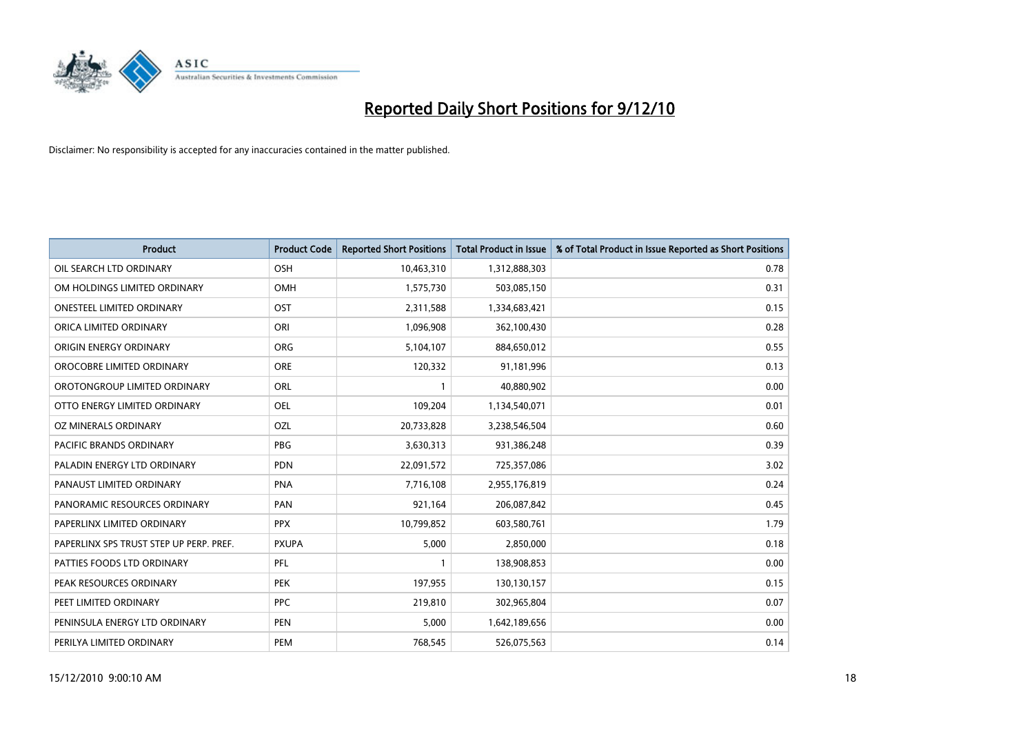

| Product                                 | <b>Product Code</b> | <b>Reported Short Positions</b> | <b>Total Product in Issue</b> | % of Total Product in Issue Reported as Short Positions |
|-----------------------------------------|---------------------|---------------------------------|-------------------------------|---------------------------------------------------------|
| OIL SEARCH LTD ORDINARY                 | <b>OSH</b>          | 10,463,310                      | 1,312,888,303                 | 0.78                                                    |
| OM HOLDINGS LIMITED ORDINARY            | OMH                 | 1,575,730                       | 503,085,150                   | 0.31                                                    |
| <b>ONESTEEL LIMITED ORDINARY</b>        | <b>OST</b>          | 2,311,588                       | 1,334,683,421                 | 0.15                                                    |
| ORICA LIMITED ORDINARY                  | ORI                 | 1,096,908                       | 362,100,430                   | 0.28                                                    |
| ORIGIN ENERGY ORDINARY                  | <b>ORG</b>          | 5,104,107                       | 884,650,012                   | 0.55                                                    |
| OROCOBRE LIMITED ORDINARY               | <b>ORE</b>          | 120,332                         | 91,181,996                    | 0.13                                                    |
| OROTONGROUP LIMITED ORDINARY            | ORL                 |                                 | 40,880,902                    | 0.00                                                    |
| OTTO ENERGY LIMITED ORDINARY            | <b>OEL</b>          | 109,204                         | 1,134,540,071                 | 0.01                                                    |
| OZ MINERALS ORDINARY                    | OZL                 | 20,733,828                      | 3,238,546,504                 | 0.60                                                    |
| <b>PACIFIC BRANDS ORDINARY</b>          | <b>PBG</b>          | 3,630,313                       | 931,386,248                   | 0.39                                                    |
| PALADIN ENERGY LTD ORDINARY             | <b>PDN</b>          | 22,091,572                      | 725,357,086                   | 3.02                                                    |
| PANAUST LIMITED ORDINARY                | <b>PNA</b>          | 7,716,108                       | 2,955,176,819                 | 0.24                                                    |
| PANORAMIC RESOURCES ORDINARY            | PAN                 | 921,164                         | 206,087,842                   | 0.45                                                    |
| PAPERLINX LIMITED ORDINARY              | <b>PPX</b>          | 10,799,852                      | 603,580,761                   | 1.79                                                    |
| PAPERLINX SPS TRUST STEP UP PERP. PREF. | <b>PXUPA</b>        | 5,000                           | 2,850,000                     | 0.18                                                    |
| PATTIES FOODS LTD ORDINARY              | PFL                 |                                 | 138,908,853                   | 0.00                                                    |
| PEAK RESOURCES ORDINARY                 | <b>PEK</b>          | 197,955                         | 130,130,157                   | 0.15                                                    |
| PEET LIMITED ORDINARY                   | <b>PPC</b>          | 219,810                         | 302,965,804                   | 0.07                                                    |
| PENINSULA ENERGY LTD ORDINARY           | <b>PEN</b>          | 5,000                           | 1,642,189,656                 | 0.00                                                    |
| PERILYA LIMITED ORDINARY                | PEM                 | 768,545                         | 526,075,563                   | 0.14                                                    |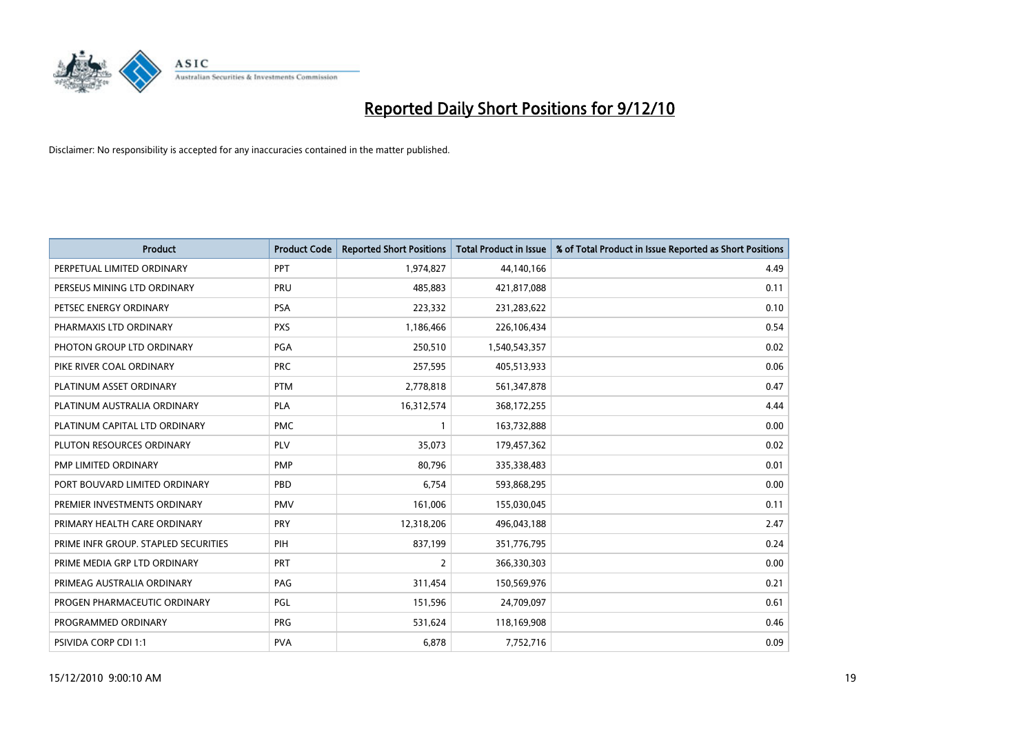

| Product                              | <b>Product Code</b> | <b>Reported Short Positions</b> | <b>Total Product in Issue</b> | % of Total Product in Issue Reported as Short Positions |
|--------------------------------------|---------------------|---------------------------------|-------------------------------|---------------------------------------------------------|
| PERPETUAL LIMITED ORDINARY           | <b>PPT</b>          | 1,974,827                       | 44,140,166                    | 4.49                                                    |
| PERSEUS MINING LTD ORDINARY          | <b>PRU</b>          | 485,883                         | 421,817,088                   | 0.11                                                    |
| PETSEC ENERGY ORDINARY               | <b>PSA</b>          | 223,332                         | 231,283,622                   | 0.10                                                    |
| PHARMAXIS LTD ORDINARY               | <b>PXS</b>          | 1,186,466                       | 226,106,434                   | 0.54                                                    |
| PHOTON GROUP LTD ORDINARY            | PGA                 | 250,510                         | 1,540,543,357                 | 0.02                                                    |
| PIKE RIVER COAL ORDINARY             | <b>PRC</b>          | 257,595                         | 405,513,933                   | 0.06                                                    |
| PLATINUM ASSET ORDINARY              | <b>PTM</b>          | 2,778,818                       | 561,347,878                   | 0.47                                                    |
| PLATINUM AUSTRALIA ORDINARY          | PLA                 | 16,312,574                      | 368,172,255                   | 4.44                                                    |
| PLATINUM CAPITAL LTD ORDINARY        | <b>PMC</b>          |                                 | 163,732,888                   | 0.00                                                    |
| PLUTON RESOURCES ORDINARY            | <b>PLV</b>          | 35,073                          | 179,457,362                   | 0.02                                                    |
| PMP LIMITED ORDINARY                 | PMP                 | 80,796                          | 335,338,483                   | 0.01                                                    |
| PORT BOUVARD LIMITED ORDINARY        | PBD                 | 6,754                           | 593,868,295                   | 0.00                                                    |
| PREMIER INVESTMENTS ORDINARY         | <b>PMV</b>          | 161,006                         | 155,030,045                   | 0.11                                                    |
| PRIMARY HEALTH CARE ORDINARY         | PRY                 | 12,318,206                      | 496,043,188                   | 2.47                                                    |
| PRIME INFR GROUP. STAPLED SECURITIES | PIH                 | 837,199                         | 351,776,795                   | 0.24                                                    |
| PRIME MEDIA GRP LTD ORDINARY         | PRT                 | 2                               | 366,330,303                   | 0.00                                                    |
| PRIMEAG AUSTRALIA ORDINARY           | PAG                 | 311,454                         | 150,569,976                   | 0.21                                                    |
| PROGEN PHARMACEUTIC ORDINARY         | <b>PGL</b>          | 151,596                         | 24,709,097                    | 0.61                                                    |
| PROGRAMMED ORDINARY                  | <b>PRG</b>          | 531,624                         | 118,169,908                   | 0.46                                                    |
| <b>PSIVIDA CORP CDI 1:1</b>          | <b>PVA</b>          | 6,878                           | 7,752,716                     | 0.09                                                    |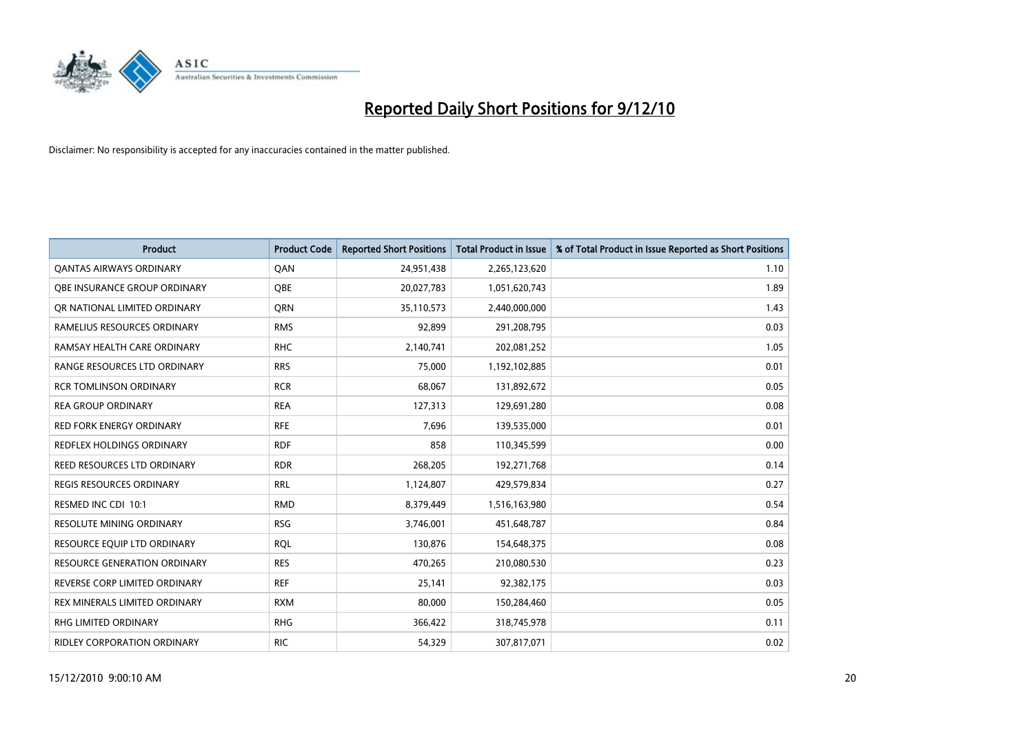

| <b>Product</b>                      | <b>Product Code</b> | <b>Reported Short Positions</b> | Total Product in Issue | % of Total Product in Issue Reported as Short Positions |
|-------------------------------------|---------------------|---------------------------------|------------------------|---------------------------------------------------------|
| <b>QANTAS AIRWAYS ORDINARY</b>      | QAN                 | 24,951,438                      | 2,265,123,620          | 1.10                                                    |
| OBE INSURANCE GROUP ORDINARY        | <b>OBE</b>          | 20,027,783                      | 1,051,620,743          | 1.89                                                    |
| OR NATIONAL LIMITED ORDINARY        | <b>ORN</b>          | 35,110,573                      | 2,440,000,000          | 1.43                                                    |
| RAMELIUS RESOURCES ORDINARY         | <b>RMS</b>          | 92,899                          | 291,208,795            | 0.03                                                    |
| RAMSAY HEALTH CARE ORDINARY         | <b>RHC</b>          | 2,140,741                       | 202,081,252            | 1.05                                                    |
| RANGE RESOURCES LTD ORDINARY        | <b>RRS</b>          | 75,000                          | 1,192,102,885          | 0.01                                                    |
| <b>RCR TOMLINSON ORDINARY</b>       | <b>RCR</b>          | 68,067                          | 131,892,672            | 0.05                                                    |
| <b>REA GROUP ORDINARY</b>           | <b>REA</b>          | 127,313                         | 129,691,280            | 0.08                                                    |
| RED FORK ENERGY ORDINARY            | <b>RFE</b>          | 7,696                           | 139,535,000            | 0.01                                                    |
| REDFLEX HOLDINGS ORDINARY           | <b>RDF</b>          | 858                             | 110,345,599            | 0.00                                                    |
| REED RESOURCES LTD ORDINARY         | <b>RDR</b>          | 268,205                         | 192,271,768            | 0.14                                                    |
| <b>REGIS RESOURCES ORDINARY</b>     | <b>RRL</b>          | 1,124,807                       | 429,579,834            | 0.27                                                    |
| RESMED INC CDI 10:1                 | <b>RMD</b>          | 8,379,449                       | 1,516,163,980          | 0.54                                                    |
| <b>RESOLUTE MINING ORDINARY</b>     | <b>RSG</b>          | 3,746,001                       | 451,648,787            | 0.84                                                    |
| RESOURCE EQUIP LTD ORDINARY         | <b>ROL</b>          | 130,876                         | 154,648,375            | 0.08                                                    |
| <b>RESOURCE GENERATION ORDINARY</b> | <b>RES</b>          | 470,265                         | 210,080,530            | 0.23                                                    |
| REVERSE CORP LIMITED ORDINARY       | <b>REF</b>          | 25,141                          | 92,382,175             | 0.03                                                    |
| REX MINERALS LIMITED ORDINARY       | <b>RXM</b>          | 80,000                          | 150,284,460            | 0.05                                                    |
| RHG LIMITED ORDINARY                | <b>RHG</b>          | 366,422                         | 318,745,978            | 0.11                                                    |
| RIDLEY CORPORATION ORDINARY         | <b>RIC</b>          | 54,329                          | 307,817,071            | 0.02                                                    |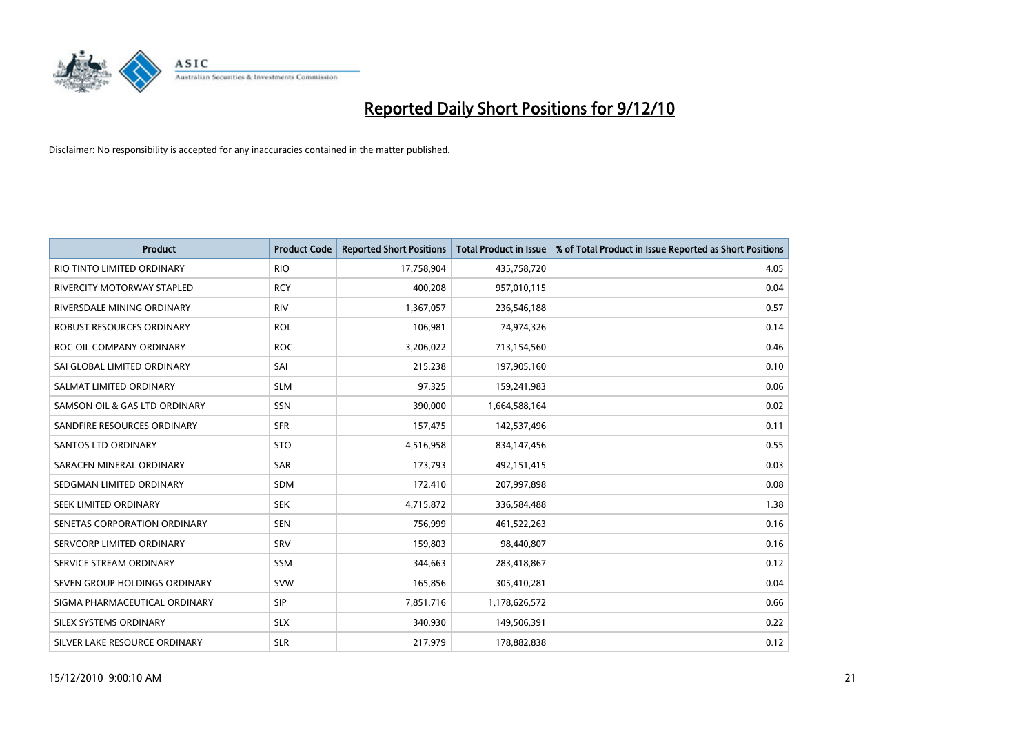

| Product                           | <b>Product Code</b> | <b>Reported Short Positions</b> | Total Product in Issue | % of Total Product in Issue Reported as Short Positions |
|-----------------------------------|---------------------|---------------------------------|------------------------|---------------------------------------------------------|
| RIO TINTO LIMITED ORDINARY        | <b>RIO</b>          | 17,758,904                      | 435,758,720            | 4.05                                                    |
| <b>RIVERCITY MOTORWAY STAPLED</b> | <b>RCY</b>          | 400,208                         | 957,010,115            | 0.04                                                    |
| RIVERSDALE MINING ORDINARY        | <b>RIV</b>          | 1,367,057                       | 236,546,188            | 0.57                                                    |
| ROBUST RESOURCES ORDINARY         | <b>ROL</b>          | 106,981                         | 74,974,326             | 0.14                                                    |
| ROC OIL COMPANY ORDINARY          | <b>ROC</b>          | 3,206,022                       | 713,154,560            | 0.46                                                    |
| SAI GLOBAL LIMITED ORDINARY       | SAI                 | 215,238                         | 197,905,160            | 0.10                                                    |
| SALMAT LIMITED ORDINARY           | <b>SLM</b>          | 97,325                          | 159,241,983            | 0.06                                                    |
| SAMSON OIL & GAS LTD ORDINARY     | SSN                 | 390,000                         | 1,664,588,164          | 0.02                                                    |
| SANDFIRE RESOURCES ORDINARY       | <b>SFR</b>          | 157,475                         | 142,537,496            | 0.11                                                    |
| SANTOS LTD ORDINARY               | <b>STO</b>          | 4,516,958                       | 834,147,456            | 0.55                                                    |
| SARACEN MINERAL ORDINARY          | SAR                 | 173,793                         | 492,151,415            | 0.03                                                    |
| SEDGMAN LIMITED ORDINARY          | SDM                 | 172,410                         | 207,997,898            | 0.08                                                    |
| SEEK LIMITED ORDINARY             | <b>SEK</b>          | 4,715,872                       | 336,584,488            | 1.38                                                    |
| SENETAS CORPORATION ORDINARY      | <b>SEN</b>          | 756,999                         | 461,522,263            | 0.16                                                    |
| SERVCORP LIMITED ORDINARY         | SRV                 | 159,803                         | 98,440,807             | 0.16                                                    |
| SERVICE STREAM ORDINARY           | <b>SSM</b>          | 344,663                         | 283,418,867            | 0.12                                                    |
| SEVEN GROUP HOLDINGS ORDINARY     | <b>SVW</b>          | 165,856                         | 305,410,281            | 0.04                                                    |
| SIGMA PHARMACEUTICAL ORDINARY     | <b>SIP</b>          | 7,851,716                       | 1,178,626,572          | 0.66                                                    |
| SILEX SYSTEMS ORDINARY            | <b>SLX</b>          | 340,930                         | 149,506,391            | 0.22                                                    |
| SILVER LAKE RESOURCE ORDINARY     | <b>SLR</b>          | 217,979                         | 178,882,838            | 0.12                                                    |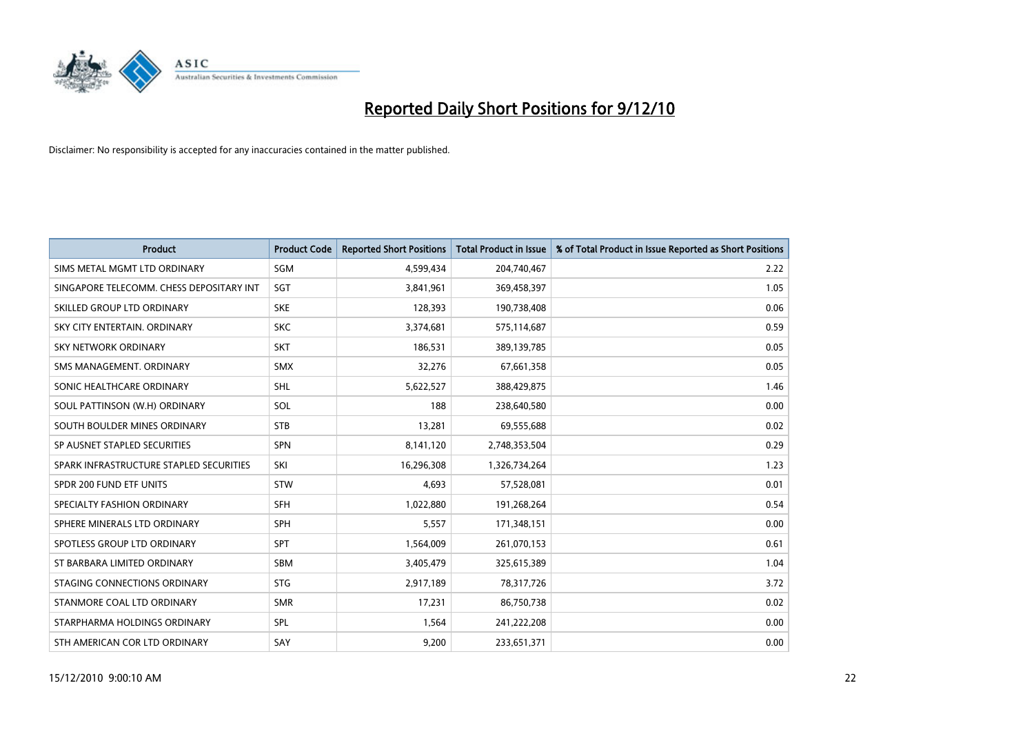

| Product                                  | <b>Product Code</b> | <b>Reported Short Positions</b> | <b>Total Product in Issue</b> | % of Total Product in Issue Reported as Short Positions |
|------------------------------------------|---------------------|---------------------------------|-------------------------------|---------------------------------------------------------|
| SIMS METAL MGMT LTD ORDINARY             | SGM                 | 4,599,434                       | 204,740,467                   | 2.22                                                    |
| SINGAPORE TELECOMM. CHESS DEPOSITARY INT | <b>SGT</b>          | 3,841,961                       | 369,458,397                   | 1.05                                                    |
| SKILLED GROUP LTD ORDINARY               | <b>SKE</b>          | 128,393                         | 190,738,408                   | 0.06                                                    |
| SKY CITY ENTERTAIN, ORDINARY             | <b>SKC</b>          | 3,374,681                       | 575,114,687                   | 0.59                                                    |
| <b>SKY NETWORK ORDINARY</b>              | <b>SKT</b>          | 186,531                         | 389,139,785                   | 0.05                                                    |
| SMS MANAGEMENT, ORDINARY                 | <b>SMX</b>          | 32,276                          | 67,661,358                    | 0.05                                                    |
| SONIC HEALTHCARE ORDINARY                | <b>SHL</b>          | 5,622,527                       | 388,429,875                   | 1.46                                                    |
| SOUL PATTINSON (W.H) ORDINARY            | SOL                 | 188                             | 238,640,580                   | 0.00                                                    |
| SOUTH BOULDER MINES ORDINARY             | <b>STB</b>          | 13,281                          | 69,555,688                    | 0.02                                                    |
| SP AUSNET STAPLED SECURITIES             | <b>SPN</b>          | 8,141,120                       | 2,748,353,504                 | 0.29                                                    |
| SPARK INFRASTRUCTURE STAPLED SECURITIES  | SKI                 | 16,296,308                      | 1,326,734,264                 | 1.23                                                    |
| SPDR 200 FUND ETF UNITS                  | <b>STW</b>          | 4,693                           | 57,528,081                    | 0.01                                                    |
| SPECIALTY FASHION ORDINARY               | <b>SFH</b>          | 1,022,880                       | 191,268,264                   | 0.54                                                    |
| SPHERE MINERALS LTD ORDINARY             | <b>SPH</b>          | 5,557                           | 171,348,151                   | 0.00                                                    |
| SPOTLESS GROUP LTD ORDINARY              | <b>SPT</b>          | 1,564,009                       | 261,070,153                   | 0.61                                                    |
| ST BARBARA LIMITED ORDINARY              | <b>SBM</b>          | 3,405,479                       | 325,615,389                   | 1.04                                                    |
| STAGING CONNECTIONS ORDINARY             | <b>STG</b>          | 2,917,189                       | 78,317,726                    | 3.72                                                    |
| STANMORE COAL LTD ORDINARY               | <b>SMR</b>          | 17,231                          | 86,750,738                    | 0.02                                                    |
| STARPHARMA HOLDINGS ORDINARY             | SPL                 | 1,564                           | 241,222,208                   | 0.00                                                    |
| STH AMERICAN COR LTD ORDINARY            | SAY                 | 9,200                           | 233,651,371                   | 0.00                                                    |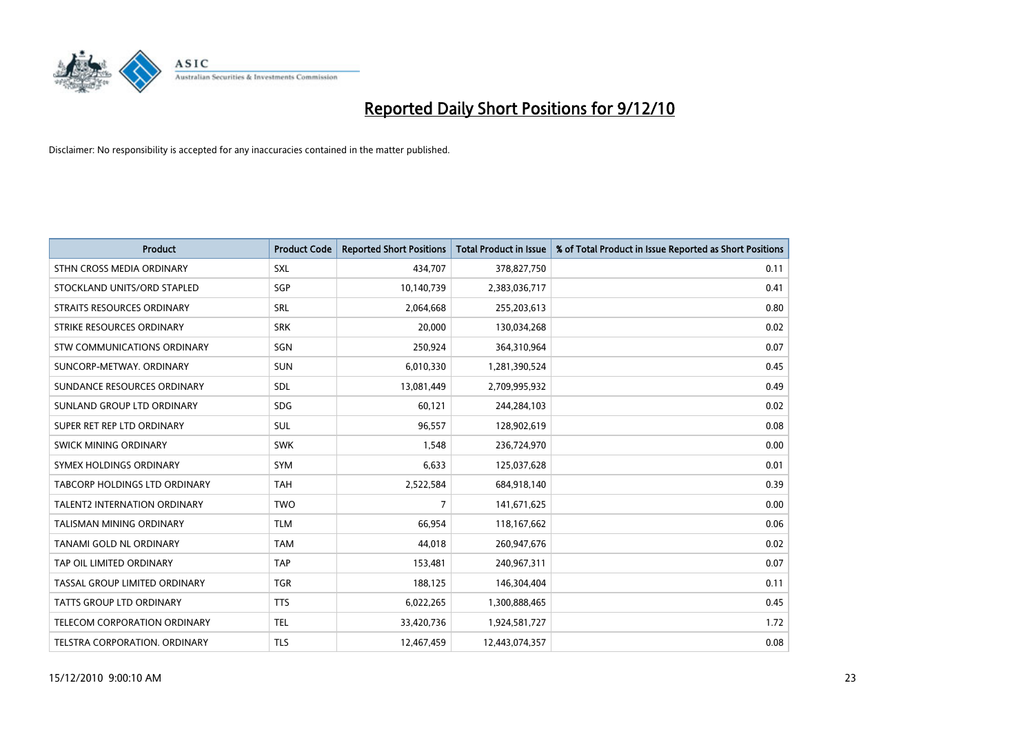

| <b>Product</b>                      | <b>Product Code</b> | <b>Reported Short Positions</b> | Total Product in Issue | % of Total Product in Issue Reported as Short Positions |
|-------------------------------------|---------------------|---------------------------------|------------------------|---------------------------------------------------------|
| STHN CROSS MEDIA ORDINARY           | SXL                 | 434,707                         | 378,827,750            | 0.11                                                    |
| STOCKLAND UNITS/ORD STAPLED         | SGP                 | 10,140,739                      | 2,383,036,717          | 0.41                                                    |
| <b>STRAITS RESOURCES ORDINARY</b>   | SRL                 | 2,064,668                       | 255,203,613            | 0.80                                                    |
| STRIKE RESOURCES ORDINARY           | <b>SRK</b>          | 20,000                          | 130,034,268            | 0.02                                                    |
| <b>STW COMMUNICATIONS ORDINARY</b>  | SGN                 | 250,924                         | 364,310,964            | 0.07                                                    |
| SUNCORP-METWAY, ORDINARY            | <b>SUN</b>          | 6,010,330                       | 1,281,390,524          | 0.45                                                    |
| SUNDANCE RESOURCES ORDINARY         | <b>SDL</b>          | 13,081,449                      | 2,709,995,932          | 0.49                                                    |
| SUNLAND GROUP LTD ORDINARY          | <b>SDG</b>          | 60,121                          | 244,284,103            | 0.02                                                    |
| SUPER RET REP LTD ORDINARY          | SUL                 | 96,557                          | 128,902,619            | 0.08                                                    |
| SWICK MINING ORDINARY               | <b>SWK</b>          | 1,548                           | 236,724,970            | 0.00                                                    |
| SYMEX HOLDINGS ORDINARY             | <b>SYM</b>          | 6,633                           | 125,037,628            | 0.01                                                    |
| TABCORP HOLDINGS LTD ORDINARY       | <b>TAH</b>          | 2,522,584                       | 684,918,140            | 0.39                                                    |
| <b>TALENT2 INTERNATION ORDINARY</b> | <b>TWO</b>          | $\overline{7}$                  | 141,671,625            | 0.00                                                    |
| <b>TALISMAN MINING ORDINARY</b>     | <b>TLM</b>          | 66,954                          | 118,167,662            | 0.06                                                    |
| TANAMI GOLD NL ORDINARY             | <b>TAM</b>          | 44,018                          | 260,947,676            | 0.02                                                    |
| TAP OIL LIMITED ORDINARY            | <b>TAP</b>          | 153,481                         | 240,967,311            | 0.07                                                    |
| TASSAL GROUP LIMITED ORDINARY       | <b>TGR</b>          | 188,125                         | 146,304,404            | 0.11                                                    |
| TATTS GROUP LTD ORDINARY            | <b>TTS</b>          | 6,022,265                       | 1,300,888,465          | 0.45                                                    |
| TELECOM CORPORATION ORDINARY        | <b>TEL</b>          | 33,420,736                      | 1,924,581,727          | 1.72                                                    |
| TELSTRA CORPORATION. ORDINARY       | <b>TLS</b>          | 12,467,459                      | 12,443,074,357         | 0.08                                                    |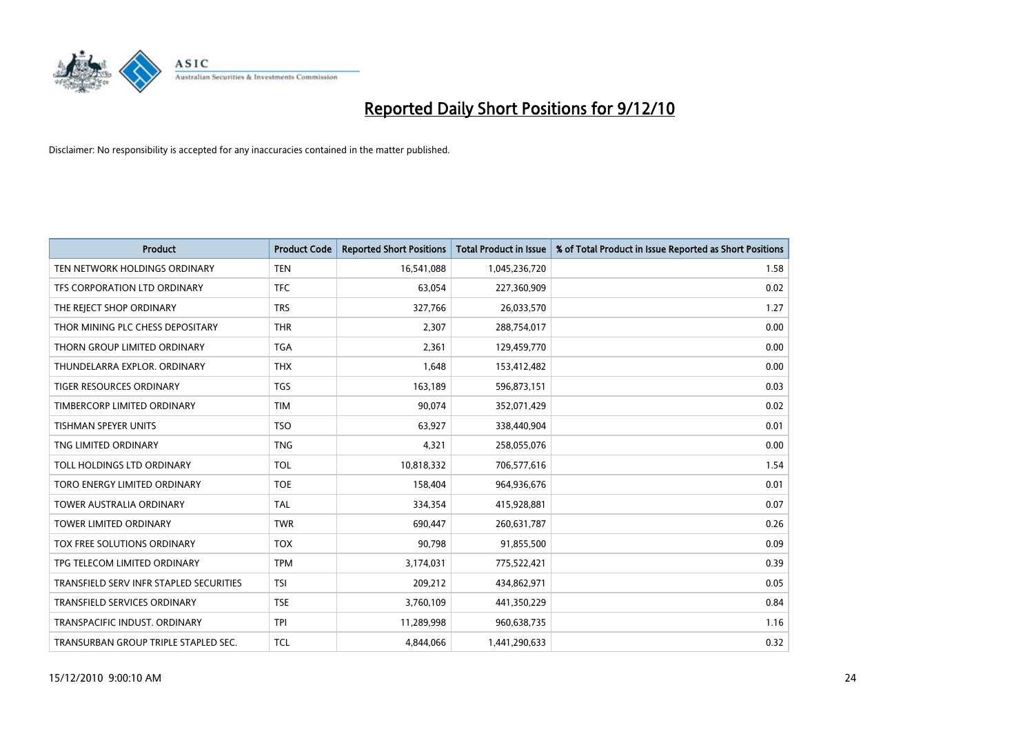

| Product                                 | <b>Product Code</b> | <b>Reported Short Positions</b> | <b>Total Product in Issue</b> | % of Total Product in Issue Reported as Short Positions |
|-----------------------------------------|---------------------|---------------------------------|-------------------------------|---------------------------------------------------------|
| TEN NETWORK HOLDINGS ORDINARY           | <b>TEN</b>          | 16,541,088                      | 1,045,236,720                 | 1.58                                                    |
| TFS CORPORATION LTD ORDINARY            | <b>TFC</b>          | 63,054                          | 227,360,909                   | 0.02                                                    |
| THE REJECT SHOP ORDINARY                | <b>TRS</b>          | 327,766                         | 26,033,570                    | 1.27                                                    |
| THOR MINING PLC CHESS DEPOSITARY        | <b>THR</b>          | 2,307                           | 288,754,017                   | 0.00                                                    |
| THORN GROUP LIMITED ORDINARY            | <b>TGA</b>          | 2,361                           | 129,459,770                   | 0.00                                                    |
| THUNDELARRA EXPLOR, ORDINARY            | <b>THX</b>          | 1,648                           | 153,412,482                   | 0.00                                                    |
| TIGER RESOURCES ORDINARY                | <b>TGS</b>          | 163,189                         | 596,873,151                   | 0.03                                                    |
| TIMBERCORP LIMITED ORDINARY             | <b>TIM</b>          | 90,074                          | 352,071,429                   | 0.02                                                    |
| TISHMAN SPEYER UNITS                    | <b>TSO</b>          | 63,927                          | 338,440,904                   | 0.01                                                    |
| TNG LIMITED ORDINARY                    | <b>TNG</b>          | 4,321                           | 258,055,076                   | 0.00                                                    |
| TOLL HOLDINGS LTD ORDINARY              | <b>TOL</b>          | 10,818,332                      | 706,577,616                   | 1.54                                                    |
| TORO ENERGY LIMITED ORDINARY            | <b>TOE</b>          | 158,404                         | 964,936,676                   | 0.01                                                    |
| <b>TOWER AUSTRALIA ORDINARY</b>         | <b>TAL</b>          | 334,354                         | 415,928,881                   | 0.07                                                    |
| <b>TOWER LIMITED ORDINARY</b>           | <b>TWR</b>          | 690,447                         | 260,631,787                   | 0.26                                                    |
| TOX FREE SOLUTIONS ORDINARY             | <b>TOX</b>          | 90,798                          | 91,855,500                    | 0.09                                                    |
| TPG TELECOM LIMITED ORDINARY            | <b>TPM</b>          | 3,174,031                       | 775,522,421                   | 0.39                                                    |
| TRANSFIELD SERV INFR STAPLED SECURITIES | <b>TSI</b>          | 209,212                         | 434,862,971                   | 0.05                                                    |
| TRANSFIELD SERVICES ORDINARY            | <b>TSE</b>          | 3,760,109                       | 441,350,229                   | 0.84                                                    |
| TRANSPACIFIC INDUST, ORDINARY           | <b>TPI</b>          | 11,289,998                      | 960,638,735                   | 1.16                                                    |
| TRANSURBAN GROUP TRIPLE STAPLED SEC.    | <b>TCL</b>          | 4,844,066                       | 1,441,290,633                 | 0.32                                                    |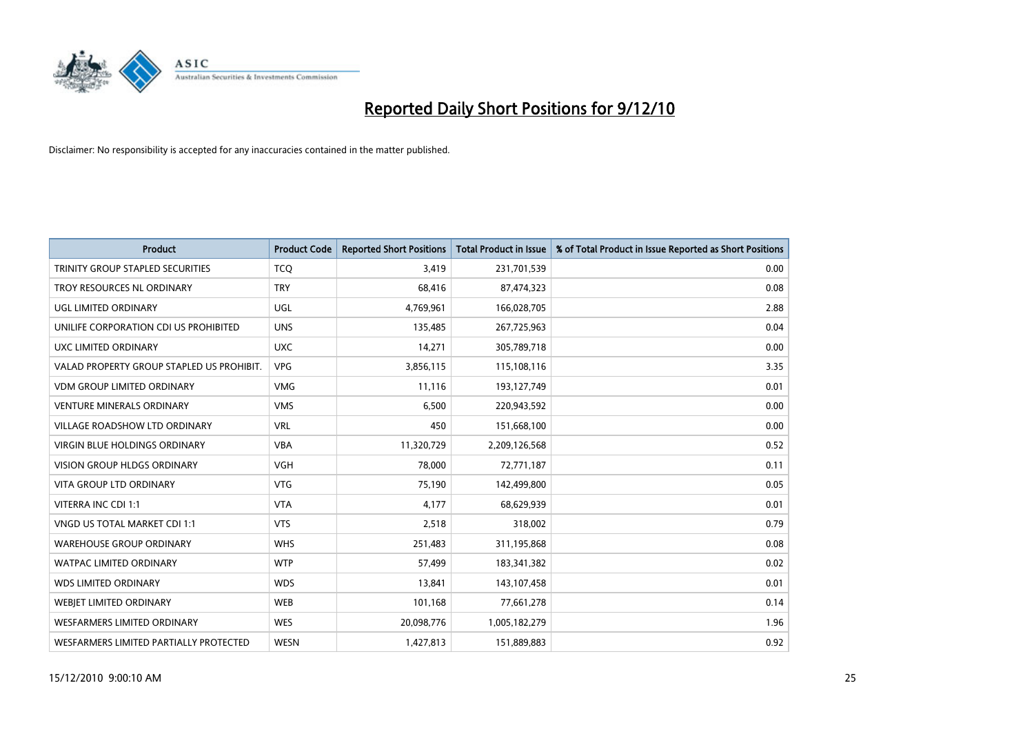

| <b>Product</b>                            | <b>Product Code</b> | <b>Reported Short Positions</b> | Total Product in Issue | % of Total Product in Issue Reported as Short Positions |
|-------------------------------------------|---------------------|---------------------------------|------------------------|---------------------------------------------------------|
| TRINITY GROUP STAPLED SECURITIES          | <b>TCQ</b>          | 3,419                           | 231,701,539            | 0.00                                                    |
| TROY RESOURCES NL ORDINARY                | <b>TRY</b>          | 68,416                          | 87,474,323             | 0.08                                                    |
| UGL LIMITED ORDINARY                      | <b>UGL</b>          | 4,769,961                       | 166,028,705            | 2.88                                                    |
| UNILIFE CORPORATION CDI US PROHIBITED     | <b>UNS</b>          | 135,485                         | 267,725,963            | 0.04                                                    |
| <b>UXC LIMITED ORDINARY</b>               | <b>UXC</b>          | 14,271                          | 305,789,718            | 0.00                                                    |
| VALAD PROPERTY GROUP STAPLED US PROHIBIT. | <b>VPG</b>          | 3,856,115                       | 115,108,116            | 3.35                                                    |
| <b>VDM GROUP LIMITED ORDINARY</b>         | <b>VMG</b>          | 11,116                          | 193,127,749            | 0.01                                                    |
| <b>VENTURE MINERALS ORDINARY</b>          | <b>VMS</b>          | 6,500                           | 220,943,592            | 0.00                                                    |
| VILLAGE ROADSHOW LTD ORDINARY             | <b>VRL</b>          | 450                             | 151,668,100            | 0.00                                                    |
| <b>VIRGIN BLUE HOLDINGS ORDINARY</b>      | <b>VBA</b>          | 11,320,729                      | 2,209,126,568          | 0.52                                                    |
| <b>VISION GROUP HLDGS ORDINARY</b>        | <b>VGH</b>          | 78,000                          | 72,771,187             | 0.11                                                    |
| <b>VITA GROUP LTD ORDINARY</b>            | <b>VTG</b>          | 75,190                          | 142,499,800            | 0.05                                                    |
| <b>VITERRA INC CDI 1:1</b>                | <b>VTA</b>          | 4,177                           | 68,629,939             | 0.01                                                    |
| VNGD US TOTAL MARKET CDI 1:1              | <b>VTS</b>          | 2,518                           | 318,002                | 0.79                                                    |
| <b>WAREHOUSE GROUP ORDINARY</b>           | <b>WHS</b>          | 251,483                         | 311,195,868            | 0.08                                                    |
| <b>WATPAC LIMITED ORDINARY</b>            | <b>WTP</b>          | 57,499                          | 183,341,382            | 0.02                                                    |
| <b>WDS LIMITED ORDINARY</b>               | <b>WDS</b>          | 13,841                          | 143,107,458            | 0.01                                                    |
| WEBJET LIMITED ORDINARY                   | <b>WEB</b>          | 101,168                         | 77,661,278             | 0.14                                                    |
| WESFARMERS LIMITED ORDINARY               | <b>WES</b>          | 20,098,776                      | 1,005,182,279          | 1.96                                                    |
| WESFARMERS LIMITED PARTIALLY PROTECTED    | <b>WESN</b>         | 1,427,813                       | 151,889,883            | 0.92                                                    |